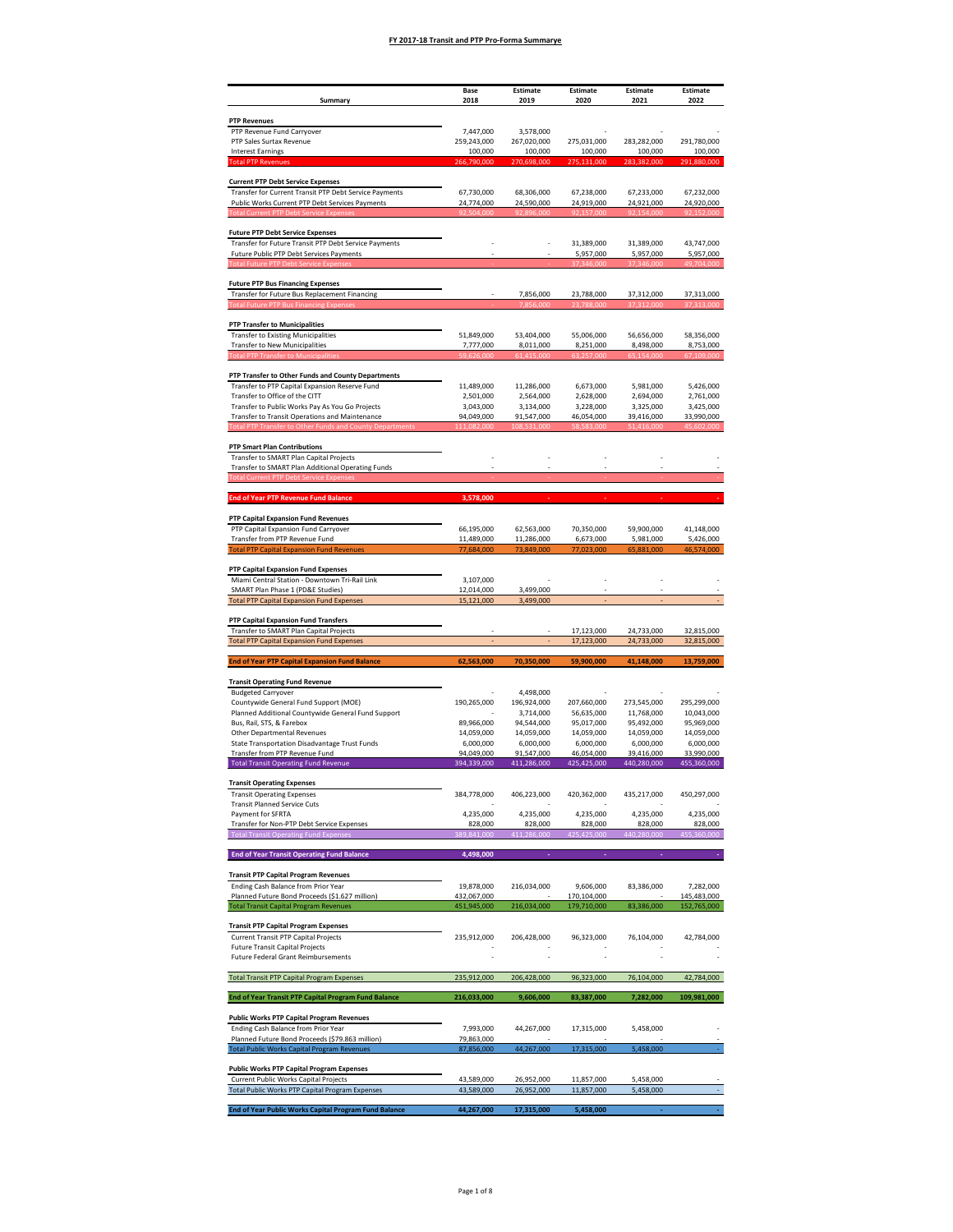| Summary                                                                                              | Base<br>2018              | Estimate<br>2019          | Estimate<br>2020          | Estimate<br>2021          | Estimate<br>2022           |
|------------------------------------------------------------------------------------------------------|---------------------------|---------------------------|---------------------------|---------------------------|----------------------------|
|                                                                                                      |                           |                           |                           |                           |                            |
| <b>PTP Revenues</b><br>PTP Revenue Fund Carryover                                                    | 7,447,000                 | 3,578,000                 |                           |                           |                            |
| PTP Sales Surtax Revenue                                                                             | 259,243,000               | 267,020,000               | 275,031,000               | 283,282,000               | 291,780,000                |
| <b>Interest Earnings</b><br><b>Total PTP Revenue:</b>                                                | 100,000<br>266,790,000    | 100,000<br>270,698,000    | 100,000<br>275<br>131,000 | 100,000<br>283<br>382,000 | 100,000<br>,880,000<br>291 |
| <b>Current PTP Debt Service Expenses</b>                                                             |                           |                           |                           |                           |                            |
| Transfer for Current Transit PTP Debt Service Payments                                               | 67,730,000                | 68,306,000                | 67,238,000                | 67,233,000                | 67,232,000                 |
| Public Works Current PTP Debt Services Payments                                                      | 24,774,000                | 24,590,000                | 24,919,000                | 24,921,000                | 24,920,000                 |
|                                                                                                      |                           |                           |                           |                           |                            |
| <b>Future PTP Debt Service Expenses</b><br>Transfer for Future Transit PTP Debt Service Payments     |                           |                           | 31,389,000                | 31,389,000                | 43,747,000                 |
| Future Public PTP Debt Services Payments                                                             |                           |                           | 5,957,000                 | 5,957,000                 | 5,957,000                  |
|                                                                                                      |                           |                           |                           |                           |                            |
| <b>Future PTP Bus Financing Expenses</b>                                                             |                           |                           |                           |                           |                            |
| Transfer for Future Bus Replacement Financing                                                        |                           | 7,856,000                 | 23,788,000                | 37,312,000                | 37,313,000                 |
|                                                                                                      |                           |                           |                           |                           |                            |
| <b>PTP Transfer to Municipalities</b><br><b>Transfer to Existing Municipalities</b>                  | 51,849,000                | 53,404,000                | 55,006,000                | 56,656,000                | 58,356,000                 |
| <b>Transfer to New Municipalities</b><br><b>Total PTP Transfer to Municipalities</b>                 | 7,777,000<br>59.626.000   | 8,011,000<br>61.415.000   | 8,251,000<br>63.257.000   | 8,498,000<br>65.154.000   | 8,753,000<br>67.109.000    |
|                                                                                                      |                           |                           |                           |                           |                            |
| PTP Transfer to Other Funds and County Departments<br>Transfer to PTP Capital Expansion Reserve Fund | 11.489.000                | 11,286,000                | 6,673,000                 | 5,981,000                 | 5,426,000                  |
| Transfer to Office of the CITT                                                                       | 2,501,000                 | 2,564,000                 | 2,628,000                 | 2,694,000                 | 2,761,000                  |
| Transfer to Public Works Pay As You Go Projects                                                      | 3,043,000                 | 3,134,000                 | 3,228,000                 | 3,325,000                 | 3,425,000                  |
| Transfer to Transit Operations and Maintenance                                                       | 94,049,000                | 91,547,000                | 46,054,000                | 39,416,000                | 33,990,000                 |
| <b>PTP Smart Plan Contributions</b>                                                                  |                           |                           |                           |                           |                            |
| Transfer to SMART Plan Capital Projects                                                              |                           |                           |                           |                           |                            |
| Transfer to SMART Plan Additional Operating Funds<br>ent PTP Debt Service Expens                     |                           |                           |                           |                           |                            |
|                                                                                                      |                           |                           |                           |                           |                            |
| <b>End of Year PTP Revenue Fund Balance</b>                                                          | 3,578,000                 |                           |                           |                           |                            |
| PTP Capital Expansion Fund Revenues                                                                  |                           |                           |                           |                           |                            |
| PTP Capital Expansion Fund Carryover                                                                 | 66,195,000                | 62,563,000                | 70,350,000                | 59,900,000                | 41,148,000                 |
| Transfer from PTP Revenue Fund<br><b>Total PTP Capital Expansion Fund Revenues</b>                   | 11,489,000<br>77,684,000  | 11,286,000<br>73.849.000  | 6,673,000<br>3.000        | 5,981,000                 | 5,426,000<br>74.00C        |
|                                                                                                      |                           |                           |                           |                           |                            |
| PTP Capital Expansion Fund Expenses<br>Miami Central Station - Downtown Tri-Rail Link                | 3,107,000                 |                           |                           |                           |                            |
| SMART Plan Phase 1 (PD&E Studies)                                                                    | 12,014,000                | 3,499,000                 |                           |                           |                            |
| <b>Total PTP Capital Expansion Fund Expenses</b>                                                     | 15,121,000                | 3,499,000                 |                           |                           |                            |
| PTP Capital Expansion Fund Transfers                                                                 |                           |                           |                           |                           |                            |
| Transfer to SMART Plan Capital Projects<br><b>Total PTP Capital Expansion Fund Expenses</b>          |                           |                           | 17.123.000<br>17,123,000  | 24.733.000<br>24,733,000  | 32,815,000<br>32,815,000   |
| <b>End of Year PTP Capital Expansion Fund Balance</b>                                                | 62,563,000                | 70,350,000                | 59,900,000                | 41,148,000                | 13,759,000                 |
|                                                                                                      |                           |                           |                           |                           |                            |
| <b>Transit Operating Fund Revenue</b><br><b>Budgeted Carryover</b>                                   |                           | 4,498,000                 |                           |                           |                            |
| Countywide General Fund Support (MOE)                                                                | 190,265,000               | 196,924,000               | 207,660,000               | 273,545,000               | 295,299,000                |
| Planned Additional Countywide General Fund Support                                                   | 89,966,000                | 3.714.000                 | 56,635,000                | 11,768,000                | 10,043,000<br>95,969,000   |
| Bus, Rail, STS, & Farebox<br>Other Departmental Revenues                                             | 14,059,000                | 94,544,000<br>14,059,000  | 95,017,000<br>14,059,000  | 95,492,000<br>14,059,000  | 14,059,000                 |
| State Transportation Disadvantage Trust Funds                                                        | 6.000.000                 | 6,000,000                 | 6,000,000                 | 6,000,000                 | 6,000,000                  |
| Transfer from PTP Revenue Fund<br><b>Total Transit Operating Fund Revenue</b>                        | 94,049,000<br>394,339,000 | 91.547.000<br>411,286,000 | 46,054,000<br>425,425,000 | 39,416,000<br>440,280,000 | 33,990,000<br>455,360,000  |
|                                                                                                      |                           |                           |                           |                           |                            |
| <b>Transit Operating Expenses</b><br><b>Transit Operating Expenses</b>                               | 384,778,000               | 406,223,000               | 420,362,000               | 435,217,000               | 450,297,000                |
| <b>Transit Planned Service Cuts</b>                                                                  |                           |                           |                           |                           |                            |
| Payment for SFRTA<br>Transfer for Non-PTP Debt Service Expenses                                      | 4,235,000<br>828,000      | 4,235,000<br>828,000      | 4,235,000<br>828,000      | 4,235,000<br>828,000      | 4,235,000<br>828,000       |
| <b>Total Transit Operating Fund Expenses</b>                                                         | 389,841,000               | 411,286,000               | 425,425,000               | 440,280,000               | 455,360,000                |
| <b>End of Year Transit Operating Fund Balance</b>                                                    | 4,498,000                 |                           |                           |                           |                            |
|                                                                                                      |                           |                           |                           |                           |                            |
| <b>Transit PTP Capital Program Revenues</b><br>Ending Cash Balance from Prior Year                   | 19,878,000                | 216,034,000               | 9,606,000                 | 83.386.000                | 7,282,000                  |
| Planned Future Bond Proceeds (\$1.627 million)                                                       | 432,067,000               |                           | 170,104,000               |                           | 145,483,000                |
| <b>Total Transit Capital Program Revenues</b>                                                        | 451,945,000               | 216,034,000               | 179,710,000               | 83,386,000                | 152,765,000                |
| <b>Transit PTP Capital Program Expenses</b>                                                          | 235,912,000               | 206,428,000               | 96,323,000                | 76,104,000                |                            |
| <b>Current Transit PTP Capital Projects</b><br><b>Future Transit Capital Projects</b>                |                           |                           |                           |                           | 42,784,000                 |
| <b>Future Federal Grant Reimbursements</b>                                                           |                           |                           |                           |                           |                            |
| <b>Total Transit PTP Capital Program Expenses</b>                                                    | 235,912,000               | 206,428,000               | 96,323,000                | 76,104,000                | 42,784,000                 |
| End of Year Transit PTP Capital Program Fund Balance                                                 | 216,033,000               | 9,606,000                 | 83,387,000                | 7,282,000                 | 109,981,000                |
|                                                                                                      |                           |                           |                           |                           |                            |
| <b>Public Works PTP Capital Program Revenues</b><br>Ending Cash Balance from Prior Year              | 7,993,000                 | 44,267,000                | 17,315,000                | 5,458,000                 |                            |
| Planned Future Bond Proceeds (\$79.863 million)                                                      | 79,863,000                |                           |                           |                           |                            |
| <b>Total Public Works Capital Program Revenues</b>                                                   | 87,856,000                | 44,267,000                | 17,315,000                | 5,458,000                 |                            |
| <b>Public Works PTP Capital Program Expenses</b>                                                     |                           |                           |                           |                           |                            |
| <b>Current Public Works Capital Projects</b><br>Total Public Works PTP Capital Program Expenses      | 43,589,000<br>43,589,000  | 26,952,000<br>26,952,000  | 11,857,000<br>11,857,000  | 5,458,000<br>5,458,000    |                            |
|                                                                                                      |                           |                           |                           |                           |                            |
| End of Year Public Works Capital Program Fund Balance                                                | 44,267,000                | 17,315,000                | 5,458,000                 |                           |                            |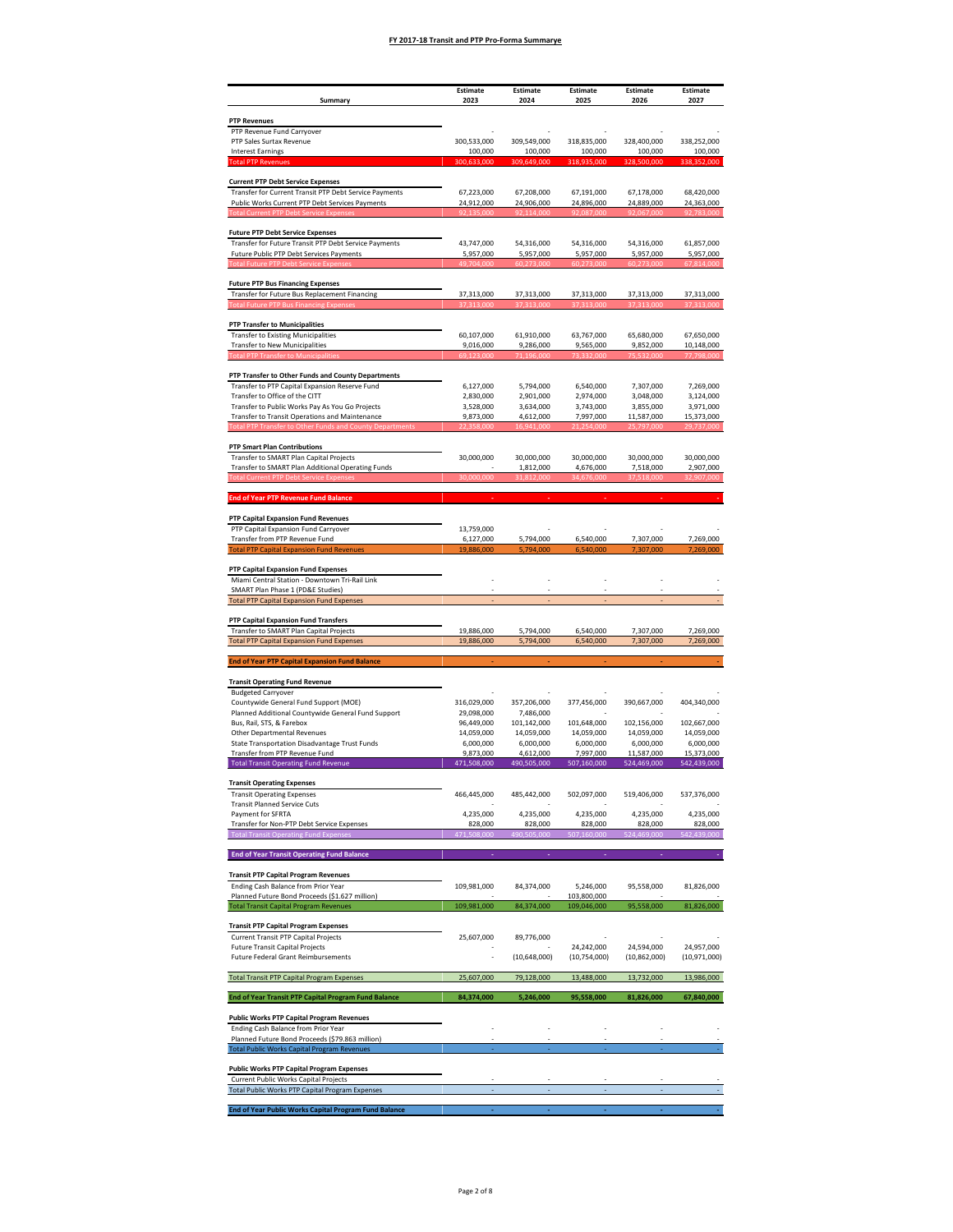| Summary                                                                                                   | Estimate<br>2023          | Estimate<br>2024          | Estimate<br>2025          | Estimate<br>2026          | Estimate<br>2027          |
|-----------------------------------------------------------------------------------------------------------|---------------------------|---------------------------|---------------------------|---------------------------|---------------------------|
| <b>PTP Revenues</b>                                                                                       |                           |                           |                           |                           |                           |
| PTP Revenue Fund Carryover                                                                                |                           |                           |                           |                           |                           |
| PTP Sales Surtax Revenue<br><b>Interest Earnings</b>                                                      | 300,533,000<br>100,000    | 309,549,000<br>100,000    | 318,835,000<br>100,000    | 328,400,000<br>100,000    | 338,252,000<br>100,000    |
| <b>Total PTP Revenue</b>                                                                                  | 300.633.000               | 309.649.000               | 318.935.000               | 328<br>500.000            | 352,000                   |
| <b>Current PTP Debt Service Expenses</b>                                                                  |                           |                           |                           |                           |                           |
| Transfer for Current Transit PTP Debt Service Payments<br>Public Works Current PTP Debt Services Payments | 67,223,000<br>24,912,000  | 67,208,000<br>24,906,000  | 67,191,000<br>24,896,000  | 67,178,000<br>24,889,000  | 68,420,000<br>24,363,000  |
|                                                                                                           |                           |                           |                           |                           |                           |
| <b>Future PTP Debt Service Expenses</b>                                                                   |                           |                           |                           |                           |                           |
| Transfer for Future Transit PTP Debt Service Payments<br>Future Public PTP Debt Services Payments         | 43,747,000<br>5,957,000   | 54,316,000<br>5,957,000   | 54,316,000<br>5,957,000   | 54,316,000<br>5,957,000   | 61,857,000<br>5,957,000   |
|                                                                                                           |                           |                           |                           |                           |                           |
| <b>Future PTP Bus Financing Expenses</b>                                                                  |                           |                           |                           |                           |                           |
| Transfer for Future Bus Replacement Financing                                                             | 37,313,000                | 37,313,000                | 37,313,000                | 37,313,000                | 37,313,000                |
| <b>PTP Transfer to Municipalities</b>                                                                     |                           |                           |                           |                           |                           |
| <b>Transfer to Existing Municipalities</b>                                                                | 60,107,000                | 61,910,000                | 63,767,000                | 65,680,000                | 67,650,000                |
| <b>Transfer to New Municipalities</b><br><b>Total PTP Transfer to Municipalitie</b>                       | 9,016,000<br>69.123.000   | 9,286,000<br>71.196.000   | 9,565,000<br>73.332.000   | 9,852,000<br>75.532.000   | 10,148,000<br>77,798,000  |
| PTP Transfer to Other Funds and County Departments                                                        |                           |                           |                           |                           |                           |
| Transfer to PTP Capital Expansion Reserve Fund                                                            | 6,127,000                 | 5,794,000                 | 6,540,000                 | 7.307.000                 | 7,269,000                 |
| Transfer to Office of the CITT<br>Transfer to Public Works Pay As You Go Projects                         | 2,830,000<br>3,528,000    | 2,901,000<br>3,634,000    | 2,974,000<br>3,743,000    | 3,048,000<br>3,855,000    | 3,124,000<br>3,971,000    |
| Transfer to Transit Operations and Maintenance                                                            | 9,873,000                 | 4,612,000                 | 7,997,000                 | 11,587,000                | 15,373,000                |
|                                                                                                           |                           |                           |                           |                           |                           |
| <b>PTP Smart Plan Contributions</b><br>Transfer to SMART Plan Capital Projects                            | 30,000,000                | 30,000,000                | 30,000,000                | 30,000,000                | 30,000,000                |
| Transfer to SMART Plan Additional Operating Funds<br><b>rent PTP Debt Service Exper</b>                   |                           | 1,812,000                 | 4,676,000<br>34.676.000   | 7,518,000<br>7.518.00     | 2,907,000<br>32.907.000   |
|                                                                                                           |                           |                           |                           |                           |                           |
| <b>End of Year PTP Revenue Fund Balance</b>                                                               |                           |                           |                           |                           |                           |
| PTP Capital Expansion Fund Revenues<br>PTP Capital Expansion Fund Carryover                               |                           |                           |                           |                           |                           |
| Transfer from PTP Revenue Fund                                                                            | 13,759,000<br>6,127,000   | 5,794,000                 | 6,540,000                 | 7,307,000                 | 7,269,000                 |
| <b>Total PTP Capital Expansion Fund Revenues</b>                                                          |                           |                           |                           |                           |                           |
| PTP Capital Expansion Fund Expenses<br>Miami Central Station - Downtown Tri-Rail Link                     |                           |                           |                           |                           |                           |
| SMART Plan Phase 1 (PD&E Studies)                                                                         |                           |                           |                           |                           |                           |
| <b>Total PTP Capital Expansion Fund Expenses</b>                                                          |                           |                           |                           |                           |                           |
| PTP Capital Expansion Fund Transfers<br>Transfer to SMART Plan Capital Projects                           | 19,886,000                | 5,794,000                 | 6,540,000                 | 7,307,000                 | 7,269,000                 |
| <b>Total PTP Capital Expansion Fund Expenses</b>                                                          | 19,886,000                | 5,794,000                 | 6,540,000                 | 7,307,000                 | 7,269,000                 |
| <b>End of Year PTP Capital Expansion Fund Balance</b>                                                     |                           |                           |                           |                           |                           |
| <b>Transit Operating Fund Revenue</b>                                                                     |                           |                           |                           |                           |                           |
| <b>Budgeted Carryover</b>                                                                                 |                           |                           |                           |                           |                           |
| Countywide General Fund Support (MOE)<br>Planned Additional Countywide General Fund Support               | 316,029,000<br>29.098.000 | 357,206,000<br>7,486,000  | 377,456,000               | 390,667,000               | 404,340,000               |
| Bus, Rail, STS, & Farebox                                                                                 | 96,449,000<br>14,059,000  | 101,142,000<br>14,059,000 | 101,648,000<br>14,059,000 | 102,156,000<br>14,059,000 | 102,667,000<br>14,059,000 |
| Other Departmental Revenues<br>State Transportation Disadvantage Trust Funds                              | 6,000,000                 | 6,000,000                 | 6,000,000                 | 6,000,000                 | 6,000,000                 |
| Transfer from PTP Revenue Fund<br><b>Total Transit Operating Fund Revenue</b>                             | 9.873.000<br>471,508,000  | 4.612.000<br>490,505,000  | 7,997,000<br>507,160,000  | 11,587,000<br>524,469,000 | 15,373,000<br>542,439,000 |
|                                                                                                           |                           |                           |                           |                           |                           |
| <b>Transit Operating Expenses</b><br><b>Transit Operating Expenses</b>                                    | 466,445,000               | 485,442,000               | 502,097,000               | 519,406,000               | 537,376,000               |
| <b>Transit Planned Service Cuts</b><br>Payment for SFRTA                                                  | 4,235,000                 | 4,235,000                 | 4,235,000                 | 4,235,000                 | 4,235,000                 |
| Transfer for Non-PTP Debt Service Expenses                                                                | 828,000<br>471,508,000    | 828,000<br>490,505,000    | 828,000<br>507,160,000    | 828,000<br>524,469,000    | 828,000                   |
| <b>Total Transit Operating Fund Expenses</b>                                                              |                           |                           |                           |                           | 542,439,000               |
| <b>End of Year Transit Operating Fund Balance</b>                                                         |                           |                           |                           |                           |                           |
| <b>Transit PTP Capital Program Revenues</b>                                                               |                           |                           |                           | 95,558,000                | 81,826,000                |
| Ending Cash Balance from Prior Year<br>Planned Future Bond Proceeds (\$1.627 million)                     | 109,981,000               | 84,374,000                | 5,246,000<br>103,800,000  |                           |                           |
| <b>Total Transit Capital Program Revenues</b>                                                             | 109,981,000               | 84,374,000                | 109,046,000               | 95,558,000                | 81,826,000                |
| <b>Transit PTP Capital Program Expenses</b>                                                               |                           | 89.776.000                |                           |                           |                           |
| <b>Current Transit PTP Capital Projects</b><br><b>Future Transit Capital Projects</b>                     | 25,607,000                |                           | 24,242,000                | 24,594,000                | 24,957,000                |
| Future Federal Grant Reimbursements                                                                       |                           | (10, 648, 000)            | (10,754,000)              | (10, 862, 000)            | (10,971,000)              |
| <b>Total Transit PTP Capital Program Expenses</b>                                                         | 25,607,000                | 79,128,000                | 13,488,000                | 13,732,000                | 13,986,000                |
| End of Year Transit PTP Capital Program Fund Balance                                                      | 84,374,000                | 5,246,000                 | 95,558,000                | 81,826,000                | 67,840,000                |
| <b>Public Works PTP Capital Program Revenues</b>                                                          |                           |                           |                           |                           |                           |
| Ending Cash Balance from Prior Year                                                                       |                           |                           |                           |                           |                           |
| Planned Future Bond Proceeds (\$79.863 million)<br><b>Total Public Works Capital Program Revenues</b>     |                           |                           |                           |                           |                           |
| <b>Public Works PTP Capital Program Expenses</b>                                                          |                           |                           |                           |                           |                           |
| <b>Current Public Works Capital Projects</b>                                                              |                           |                           |                           |                           |                           |
| Total Public Works PTP Capital Program Expenses                                                           |                           |                           |                           |                           |                           |
| End of Year Public Works Capital Program Fund Balance                                                     |                           |                           |                           |                           |                           |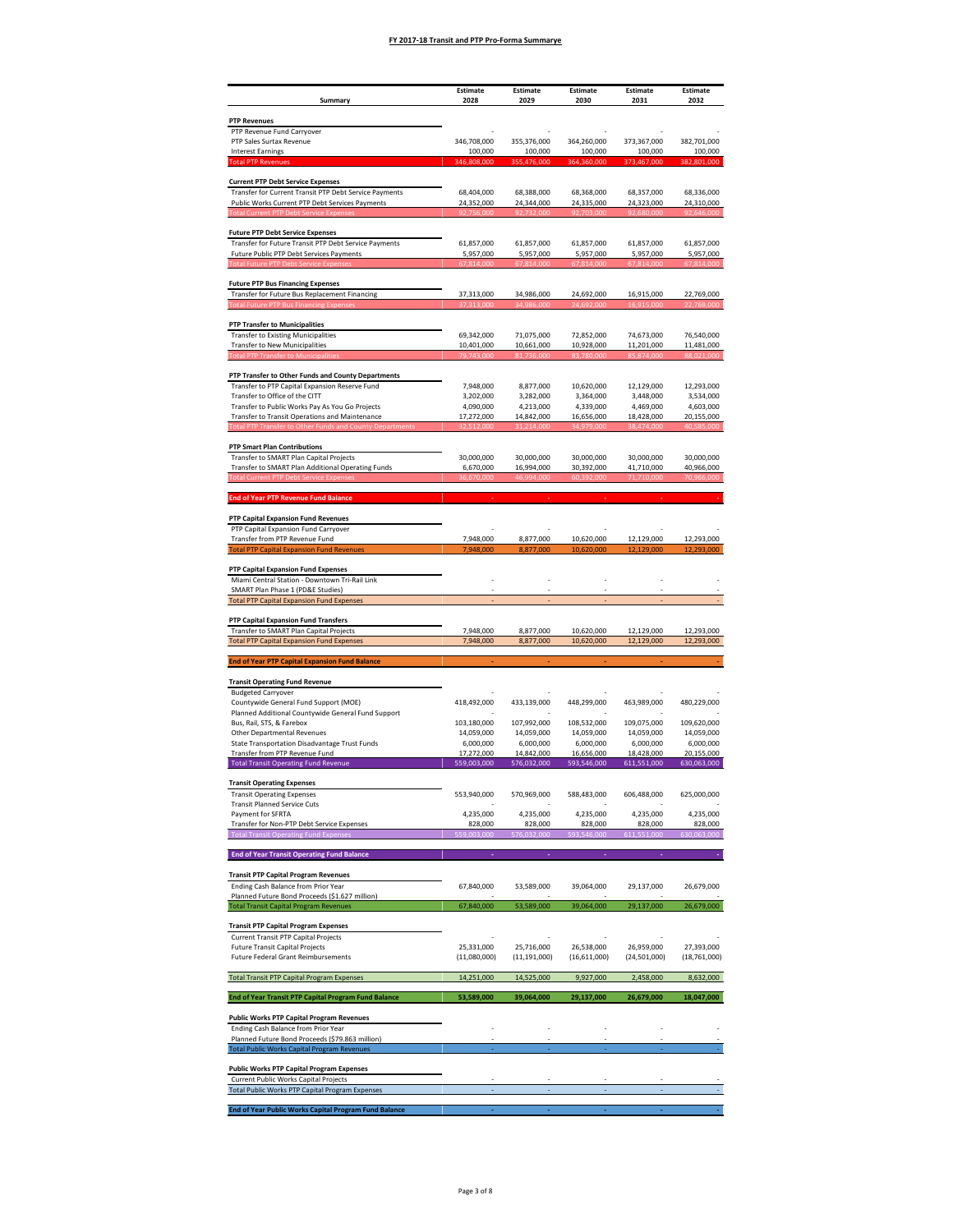|                                                                                                       | <b>Estimate</b>          | <b>Estimate</b>              | Estimate                 | <b>Estimate</b>          | Estimate                     |
|-------------------------------------------------------------------------------------------------------|--------------------------|------------------------------|--------------------------|--------------------------|------------------------------|
| Summary                                                                                               | 2028                     | 2029                         | 2030                     | 2031                     | 2032                         |
| <b>PTP Revenues</b><br>PTP Revenue Fund Carryover                                                     |                          |                              |                          |                          |                              |
| PTP Sales Surtax Revenue                                                                              | 346,708,000              | 355,376,000                  | 364,260,000              | 373,367,000              | 382,701,000                  |
| <b>Interest Earnings</b><br><b>Total PTP Rever</b>                                                    | 100,000                  | 100,000                      | 100,000                  | 100,000                  | 100,000<br>382.801.000       |
| <b>Current PTP Debt Service Expenses</b>                                                              |                          |                              |                          |                          |                              |
| Transfer for Current Transit PTP Debt Service Payments                                                | 68,404,000               | 68,388,000                   | 68,368,000               | 68,357,000               | 68,336,000                   |
| Public Works Current PTP Debt Services Payments                                                       | 24,352,000               | 24,344,000                   | 24,335,000               | 24,323,000               | 24,310,000                   |
|                                                                                                       |                          |                              |                          |                          |                              |
| <b>Future PTP Debt Service Expenses</b><br>Transfer for Future Transit PTP Debt Service Payments      | 61,857,000               | 61,857,000                   | 61,857,000               | 61,857,000               | 61,857,000                   |
| Future Public PTP Debt Services Payments                                                              | 5,957,000                | 5,957,000                    | 5,957,000                | 5,957,000                | 5,957,000                    |
|                                                                                                       |                          |                              |                          |                          |                              |
| <b>Future PTP Bus Financing Expenses</b>                                                              |                          |                              |                          |                          |                              |
| Transfer for Future Bus Replacement Financing<br><b>Fotal Future PTP Bus Financing Expense</b>        | 37,313,000<br>37 313 000 | 34,986,000<br>34.986.000     | 24,692,000<br>24.692.000 | 16,915,000<br>16.915.000 | 22,769,000<br>22.769.000     |
|                                                                                                       |                          |                              |                          |                          |                              |
| <b>PTP Transfer to Municipalities</b><br><b>Transfer to Existing Municipalities</b>                   | 69,342,000               | 71,075,000                   | 72.852.000               | 74.673.000               | 76,540,000                   |
| <b>Transfer to New Municipalities</b>                                                                 | 10,401,000               | 10,661,000                   | 10,928,000               | 11,201,000               | 11,481,000                   |
| <b>Total PTP Transfer to Municipalities</b>                                                           | 79,743,000               | 81,736,000                   | 83,780,000               | 85,874,000               | 88,021,000                   |
| PTP Transfer to Other Funds and County Departments                                                    |                          |                              |                          |                          |                              |
| Transfer to PTP Capital Expansion Reserve Fund<br>Transfer to Office of the CITT                      | 7,948,000<br>3,202,000   | 8,877,000<br>3,282,000       | 10,620,000<br>3,364,000  | 12,129,000<br>3,448,000  | 12,293,000<br>3,534,000      |
| Transfer to Public Works Pay As You Go Projects                                                       | 4,090,000                | 4,213,000                    | 4,339,000                | 4,469,000                | 4,603,000                    |
| Transfer to Transit Operations and Maintenance<br><b>Transfer to Other</b>                            | 17,272,000<br>512.00     | 14,842,000                   | 16,656,000               | 18,428,000               | 20,155,000                   |
|                                                                                                       |                          | 31.214.00                    | 34.979.00                | 38.474.000               | 40.585.000                   |
| <b>PTP Smart Plan Contributions</b><br>Transfer to SMART Plan Capital Projects                        |                          |                              |                          |                          |                              |
| Transfer to SMART Plan Additional Operating Funds                                                     | 30,000,000<br>6,670,000  | 30,000,000<br>16,994,000     | 30,000,000<br>30,392,000 | 30,000,000<br>41,710,000 | 30,000,000<br>40,966,000     |
|                                                                                                       |                          | 46.994.000                   |                          |                          | 70.966.00                    |
| <b>End of Year PTP Revenue Fund Balance</b>                                                           |                          |                              |                          |                          |                              |
|                                                                                                       |                          |                              |                          |                          |                              |
| PTP Capital Expansion Fund Revenues<br>PTP Capital Expansion Fund Carryover                           |                          |                              |                          |                          |                              |
| Transfer from PTP Revenue Fund                                                                        | 7,948,000                | 8,877,000                    | 10,620,000               | 12,129,000               | 12,293,000                   |
| <b>Total PTP Capital Expansion Fund Revenues</b>                                                      | 7,948,000                | 8.877.000                    | 10,620,000               | 12,129,000               | 12,293,000                   |
| PTP Capital Expansion Fund Expenses                                                                   |                          |                              |                          |                          |                              |
| Miami Central Station - Downtown Tri-Rail Link<br>SMART Plan Phase 1 (PD&E Studies)                   |                          |                              |                          |                          |                              |
| <b>Total PTP Capital Expansion Fund Expenses</b>                                                      |                          |                              |                          |                          |                              |
| PTP Capital Expansion Fund Transfers                                                                  |                          |                              |                          |                          |                              |
| Transfer to SMART Plan Capital Projects                                                               | 7,948,000                | 8,877,000                    | 10,620,000               | 12,129,000               | 12,293,000                   |
| <b>Total PTP Capital Expansion Fund Expenses</b>                                                      | 7,948,000                | 8,877,000                    | 10,620,000               | 12,129,000               | 12,293,000                   |
| <b>End of Year PTP Capital Expansion Fund Balance</b>                                                 |                          |                              |                          |                          |                              |
| <b>Transit Operating Fund Revenue</b>                                                                 |                          |                              |                          |                          |                              |
| <b>Budgeted Carryover</b><br>Countywide General Fund Support (MOE)                                    | 418,492,000              | 433,139,000                  | 448,299,000              | 463,989,000              | 480,229,000                  |
| Planned Additional Countywide General Fund Support                                                    |                          |                              |                          |                          |                              |
| Bus, Rail, STS, & Farebox<br>Other Departmental Revenues                                              | 103,180,000              | 107,992,000                  | 108,532,000              | 109,075,000              | 109,620,000                  |
| State Transportation Disadvantage Trust Funds                                                         | 14,059,000<br>6,000,000  | 14,059,000<br>6,000,000      | 14,059,000<br>6,000,000  | 14,059,000<br>6,000,000  | 14,059,000<br>6,000,000      |
| Transfer from PTP Revenue Fund                                                                        | 17,272,000               | 14,842,000                   | 16,656,000               | 18,428,000               | 20,155,000                   |
| <b>Total Transit Operating Fund Revenue</b>                                                           | 559,003,000              | 576,032,000                  | 593,546,000              | 611,551,000              | 630,063,000                  |
| <b>Transit Operating Expenses</b>                                                                     |                          |                              |                          |                          |                              |
| <b>Transit Operating Expenses</b><br><b>Transit Planned Service Cuts</b>                              | 553,940,000              | 570,969,000                  | 588,483,000              | 606,488,000              | 625,000,000                  |
| Payment for SFRTA                                                                                     | 4,235,000                | 4,235,000                    | 4,235,000                | 4,235,000                | 4,235,000                    |
| Transfer for Non-PTP Debt Service Expenses<br><b>Total Transit Operating Fund Expense</b>             | 828,000<br>.003.000      | 828,000<br>76.032.000        | 828,000<br>546.000       | 828,000<br>11.551.000    | 828,000<br>30,063,000        |
| <b>End of Year Transit Operating Fund Balance</b>                                                     |                          |                              |                          |                          |                              |
|                                                                                                       |                          |                              |                          |                          |                              |
| <b>Transit PTP Capital Program Revenues</b>                                                           | 67,840,000               |                              | 39,064,000               |                          |                              |
| Ending Cash Balance from Prior Year<br>Planned Future Bond Proceeds (\$1.627 million)                 |                          | 53,589,000                   |                          | 29,137,000               | 26,679,000                   |
| <b>Total Transit Capital Program Revenues</b>                                                         | 67,840,000               | 53,589,000                   | 39,064,000               | 29,137,000               | 26,679,000                   |
| <b>Transit PTP Capital Program Expenses</b>                                                           |                          |                              |                          |                          |                              |
| Current Transit PTP Capital Projects                                                                  | 25.331.000               |                              | 26.538.000               | 26.959.000               |                              |
| <b>Future Transit Capital Projects</b><br><b>Future Federal Grant Reimbursements</b>                  | (11,080,000)             | 25,716,000<br>(11, 191, 000) | (16,611,000)             | (24,501,000)             | 27,393,000<br>(18, 761, 000) |
| <b>Total Transit PTP Capital Program Expenses</b>                                                     |                          |                              |                          |                          |                              |
|                                                                                                       | 14,251,000               | 14,525,000                   | 9,927,000                | 2,458,000                | 8,632,000                    |
| End of Year Transit PTP Capital Program Fund Balance                                                  | 53,589,000               | 39,064,000                   | 29,137,000               | 26,679,000               | 18,047,000                   |
| <b>Public Works PTP Capital Program Revenues</b>                                                      |                          |                              |                          |                          |                              |
| Ending Cash Balance from Prior Year                                                                   |                          |                              |                          |                          |                              |
| Planned Future Bond Proceeds (\$79.863 million)<br><b>Total Public Works Capital Program Revenues</b> |                          |                              |                          |                          |                              |
|                                                                                                       |                          |                              |                          |                          |                              |
| <b>Public Works PTP Capital Program Expenses</b><br>Current Public Works Capital Projects             |                          |                              |                          |                          |                              |
| <b>Total Public Works PTP Capital Program Expenses</b>                                                |                          |                              |                          |                          |                              |
| End of Year Public Works Capital Program Fund Balance                                                 |                          |                              |                          |                          |                              |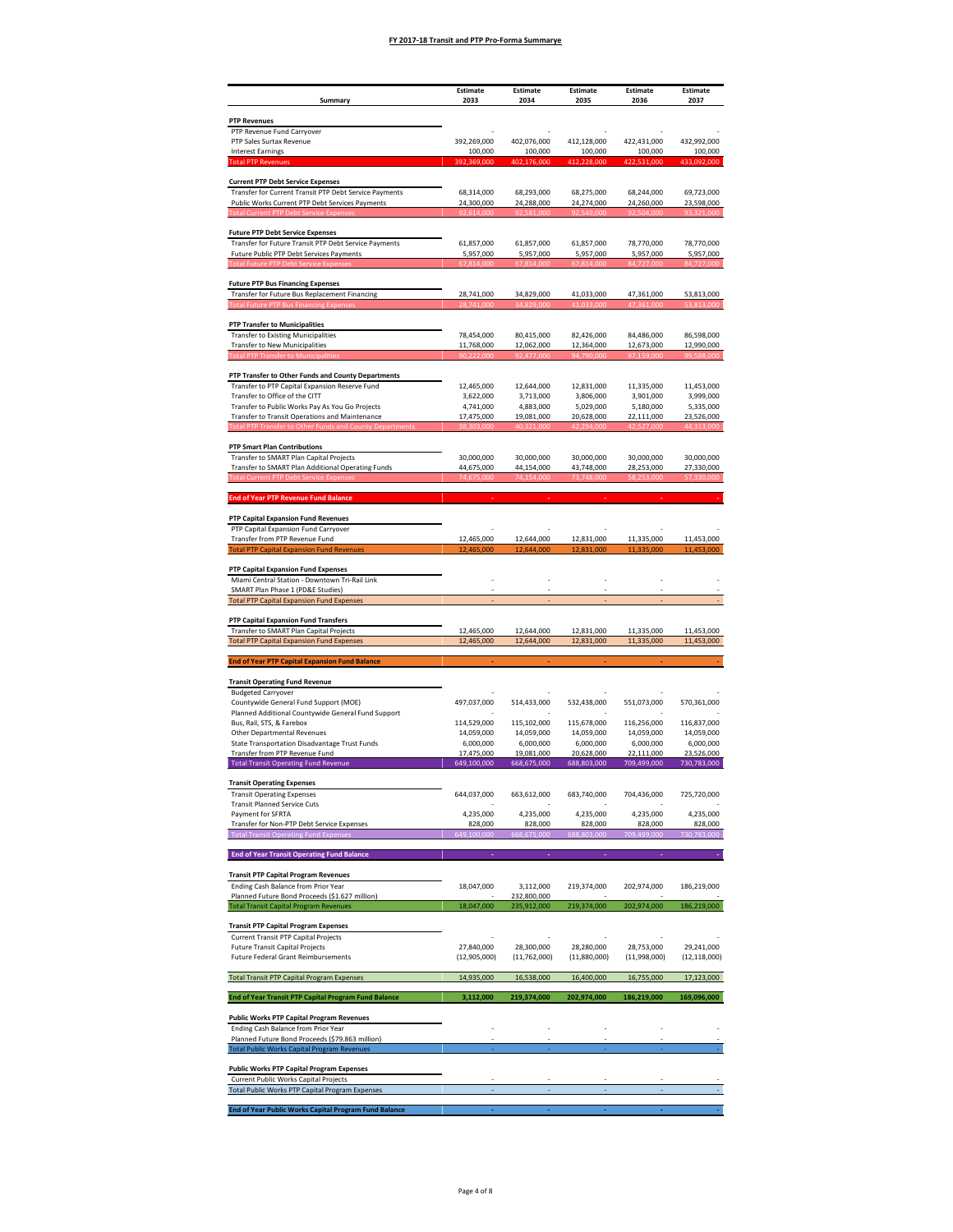| Summary                                                                                               | Estimate<br>2033          | <b>Estimate</b><br>2034   | Estimate<br>2035          | Estimate<br>2036          | Estimate<br>2037          |
|-------------------------------------------------------------------------------------------------------|---------------------------|---------------------------|---------------------------|---------------------------|---------------------------|
| <b>PTP Revenues</b>                                                                                   |                           |                           |                           |                           |                           |
| PTP Revenue Fund Carryover                                                                            |                           |                           |                           |                           |                           |
| PTP Sales Surtax Revenue<br><b>Interest Earnings</b>                                                  | 392,269,000<br>100,000    | 402,076,000<br>100,000    | 412,128,000<br>100,000    | 422,431,000<br>100,000    | 432,992,000<br>100,000    |
| <b>Total PTP Revenue:</b>                                                                             | .369.000                  | 402,176,000               | 412.228.000               | 422<br>531.000            | 433,092,000               |
| <b>Current PTP Debt Service Expenses</b><br>Transfer for Current Transit PTP Debt Service Payments    | 68,314,000                | 68,293,000                | 68,275,000                | 68,244,000                | 69,723,000                |
| Public Works Current PTP Debt Services Payments                                                       | 24,300,000                | 24,288,000                | 24,274,000                | 24,260,000                | 23,598,000                |
|                                                                                                       |                           |                           |                           |                           |                           |
| <b>Future PTP Debt Service Expenses</b><br>Transfer for Future Transit PTP Debt Service Payments      | 61,857,000                | 61,857,000                | 61,857,000                | 78,770,000                | 78,770,000                |
| Future Public PTP Debt Services Payments                                                              | 5,957,000                 | 5,957,000                 | 5,957,000                 | 5,957,000                 | 5,957,000                 |
|                                                                                                       |                           |                           |                           |                           |                           |
| <b>Future PTP Bus Financing Expenses</b><br>Transfer for Future Bus Replacement Financing             |                           | 34,829,000                |                           | 47,361,000                | 53,813,000                |
|                                                                                                       | 28,741,000                |                           | 41,033,000                |                           |                           |
| <b>PTP Transfer to Municipalities</b>                                                                 |                           |                           |                           |                           |                           |
| <b>Transfer to Existing Municipalities</b>                                                            | 78,454,000                | 80,415,000                | 82,426,000                | 84,486,000                | 86,598,000                |
| <b>Transfer to New Municipalities</b><br><b>Total PTP Transfer to Municipalitie</b>                   | 11,768,000<br>90.222.000  | 12,062,000<br>92.477.000  | 12,364,000<br>94.790.000  | 12,673,000<br>97.159.000  | 12,990,000<br>99,588,000  |
| PTP Transfer to Other Funds and County Departments                                                    |                           |                           |                           |                           |                           |
| Transfer to PTP Capital Expansion Reserve Fund                                                        | 12,465,000                | 12,644,000                | 12,831,000                | 11,335,000                | 11,453,000                |
| Transfer to Office of the CITT<br>Transfer to Public Works Pay As You Go Projects                     | 3,622,000<br>4,741,000    | 3,713,000<br>4,883,000    | 3,806,000<br>5,029,000    | 3,901,000<br>5,180,000    | 3,999,000<br>5,335,000    |
| Transfer to Transit Operations and Maintenance                                                        | 17,475,000                | 19,081,000                | 20,628,000                | 22,111,000                | 23,526,000<br>14 313 N    |
|                                                                                                       |                           |                           |                           |                           |                           |
| <b>PTP Smart Plan Contributions</b><br>Transfer to SMART Plan Capital Projects                        | 30,000,000                | 30,000,000                | 30,000,000                | 30,000,000                | 30,000,000                |
| Transfer to SMART Plan Additional Operating Funds<br>ent PTP Debt Service Exper                       | 44,675,000<br>74 675 000  | 44,154,000<br>74 154 000  | 43,748,000<br>73.748.000  | 28,253,000                | 27,330,000<br>57.330.000  |
|                                                                                                       |                           |                           |                           |                           |                           |
| <b>End of Year PTP Revenue Fund Balance</b>                                                           |                           |                           |                           |                           |                           |
| PTP Capital Expansion Fund Revenues                                                                   |                           |                           |                           |                           |                           |
| PTP Capital Expansion Fund Carryover<br>Transfer from PTP Revenue Fund                                | 12,465,000                | 12,644,000                | 12,831,000                | 11,335,000                | 11,453,000                |
| <b>Total PTP Capital Expansion Fund Revenues</b>                                                      |                           |                           |                           |                           |                           |
| PTP Capital Expansion Fund Expenses                                                                   |                           |                           |                           |                           |                           |
| Miami Central Station - Downtown Tri-Rail Link<br>SMART Plan Phase 1 (PD&E Studies)                   |                           |                           |                           |                           |                           |
| <b>Total PTP Capital Expansion Fund Expenses</b>                                                      |                           |                           |                           |                           |                           |
| PTP Capital Expansion Fund Transfers                                                                  |                           |                           |                           |                           |                           |
| Transfer to SMART Plan Capital Projects<br><b>Total PTP Capital Expansion Fund Expenses</b>           | 12,465,000<br>12,465,000  | 12,644,000<br>12,644,000  | 12,831,000<br>12,831,000  | 11,335,000<br>11,335,000  | 11.453.000<br>11,453,000  |
| <b>End of Year PTP Capital Expansion Fund Balance</b>                                                 |                           |                           |                           |                           |                           |
| <b>Transit Operating Fund Revenue</b>                                                                 |                           |                           |                           |                           |                           |
| <b>Budgeted Carryover</b>                                                                             |                           |                           |                           |                           |                           |
| Countywide General Fund Support (MOE)<br>Planned Additional Countywide General Fund Support           | 497,037,000               | 514,433,000               | 532,438,000               | 551,073,000               | 570,361,000               |
| Bus, Rail, STS, & Farebox                                                                             | 114,529,000               | 115,102,000               | 115,678,000               | 116,256,000               | 116,837,000               |
| Other Departmental Revenues<br>State Transportation Disadvantage Trust Funds                          | 14,059,000<br>6,000,000   | 14,059,000<br>6,000,000   | 14,059,000<br>6,000,000   | 14,059,000<br>6,000,000   | 14,059,000<br>6,000,000   |
| Transfer from PTP Revenue Fund<br><b>Total Transit Operating Fund Revenue</b>                         | 17.475.000<br>649,100,000 | 19,081,000<br>668,675,000 | 20,628,000<br>688,803,000 | 22,111,000<br>709,499,000 | 23,526,000<br>730,783,000 |
|                                                                                                       |                           |                           |                           |                           |                           |
| <b>Transit Operating Expenses</b><br><b>Transit Operating Expenses</b>                                | 644,037,000               | 663,612,000               | 683,740,000               | 704,436,000               | 725,720,000               |
| <b>Transit Planned Service Cuts</b><br>Payment for SFRTA                                              | 4,235,000                 | 4,235,000                 | 4,235,000                 | 4,235,000                 | 4,235,000                 |
| Transfer for Non-PTP Debt Service Expenses                                                            | 828,000                   | 828,000                   | 828,000                   | 828,000                   | 828,000                   |
| <b>Total Transit Operating Fund Expenses</b>                                                          | 649,100,000               | 668,675,000               | 688,803,000               | 709,499,000               | 730,783,000               |
| <b>End of Year Transit Operating Fund Balance</b>                                                     |                           |                           |                           |                           |                           |
| <b>Transit PTP Capital Program Revenues</b>                                                           |                           |                           |                           |                           |                           |
| Ending Cash Balance from Prior Year<br>Planned Future Bond Proceeds (\$1.627 million)                 | 18,047,000                | 3,112,000<br>232,800,000  | 219,374,000               | 202,974,000               | 186,219,000               |
| <b>Total Transit Capital Program Revenues</b>                                                         | 18,047,000                | 235,912,000               | 219,374,000               | 202,974,000               | 186,219,000               |
| <b>Transit PTP Capital Program Expenses</b>                                                           |                           |                           |                           |                           |                           |
| <b>Current Transit PTP Capital Projects</b><br><b>Future Transit Capital Projects</b>                 | 27,840,000                | 28,300,000                | 28,280,000                | 28,753,000                | 29,241,000                |
| <b>Future Federal Grant Reimbursements</b>                                                            | (12,905,000)              | (11, 762, 000)            | (11,880,000)              | (11,998,000)              | (12, 118, 000)            |
| <b>Total Transit PTP Capital Program Expenses</b>                                                     | 14,935,000                | 16,538,000                | 16,400,000                | 16,755,000                | 17,123,000                |
| End of Year Transit PTP Capital Program Fund Balance                                                  | 3,112,000                 | 219,374,000               | 202,974,000               | 186,219,000               | 169,096,000               |
|                                                                                                       |                           |                           |                           |                           |                           |
| <b>Public Works PTP Capital Program Revenues</b><br>Ending Cash Balance from Prior Year               |                           |                           |                           |                           |                           |
| Planned Future Bond Proceeds (\$79.863 million)<br><b>Total Public Works Capital Program Revenues</b> |                           |                           |                           |                           |                           |
|                                                                                                       |                           |                           |                           |                           |                           |
| <b>Public Works PTP Capital Program Expenses</b><br>Current Public Works Capital Projects             |                           |                           |                           |                           |                           |
| Total Public Works PTP Capital Program Expenses                                                       |                           |                           |                           |                           |                           |
| End of Year Public Works Capital Program Fund Balance                                                 |                           |                           |                           |                           |                           |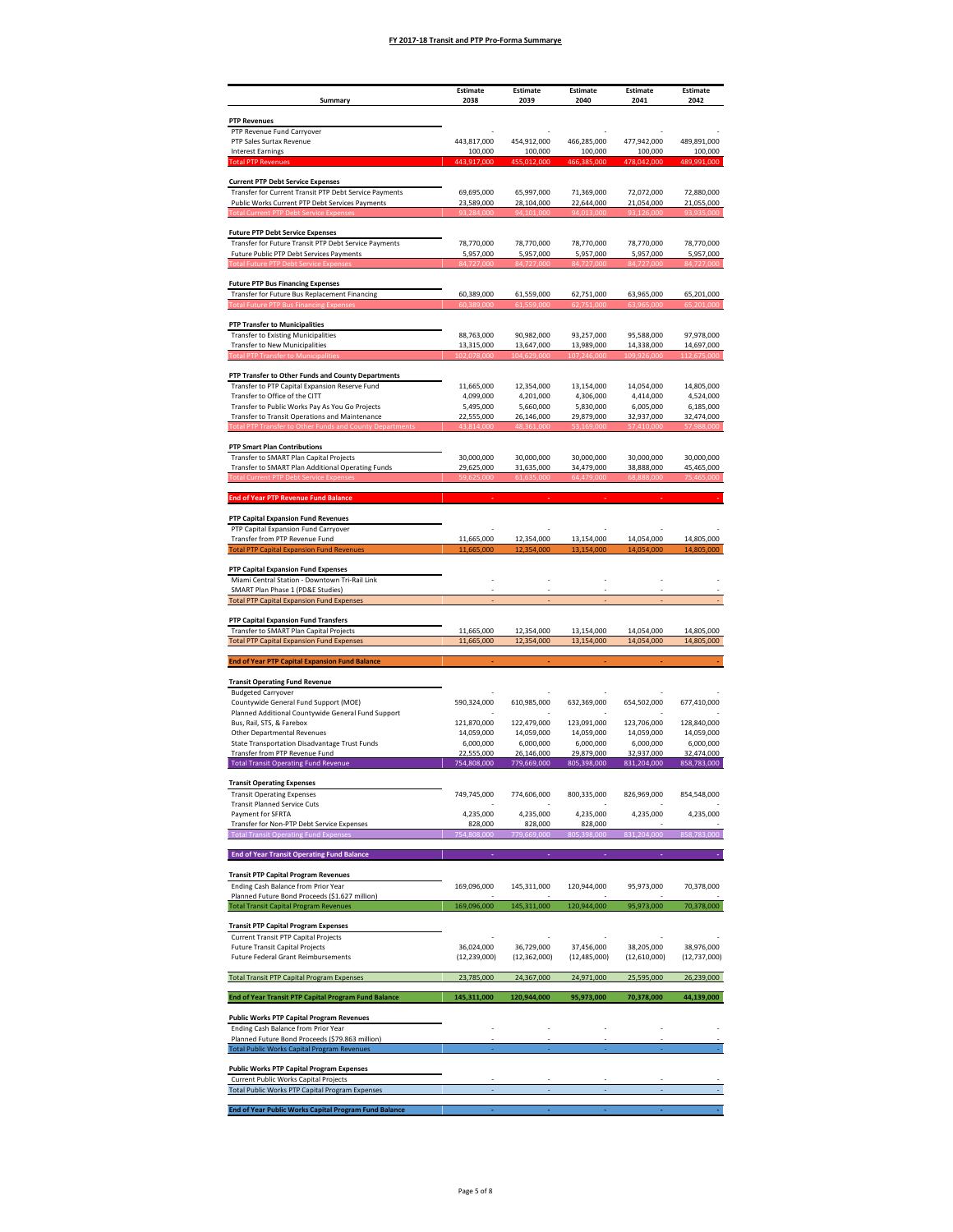|                                                                                                       | <b>Estimate</b>              | <b>Estimate</b>              | Estimate                     | <b>Estimate</b>            | Estimate                     |
|-------------------------------------------------------------------------------------------------------|------------------------------|------------------------------|------------------------------|----------------------------|------------------------------|
| Summary                                                                                               | 2038                         | 2039                         | 2040                         | 2041                       | 2042                         |
| <b>PTP Revenues</b><br>PTP Revenue Fund Carryover                                                     |                              |                              |                              |                            |                              |
| PTP Sales Surtax Revenue                                                                              | 443,817,000                  | 454,912,000                  | 466,285,000                  | 477,942,000                | 489,891,000                  |
| <b>Interest Earnings</b><br><b>Total PTP Rever</b>                                                    | 100,000                      | 100,000<br>.012.000          | 100,000                      | 100,000<br>478.042.000     | 100,000<br>489.991.000       |
| <b>Current PTP Debt Service Expenses</b>                                                              |                              |                              |                              |                            |                              |
| Transfer for Current Transit PTP Debt Service Payments                                                | 69,695,000                   | 65,997,000                   | 71,369,000                   | 72,072,000                 | 72,880,000                   |
| Public Works Current PTP Debt Services Payments                                                       | 23,589,000                   | 28,104,000                   | 22,644,000                   | 21,054,000                 | 21,055,000                   |
|                                                                                                       |                              |                              |                              |                            |                              |
| <b>Future PTP Debt Service Expenses</b>                                                               |                              |                              |                              |                            |                              |
| Transfer for Future Transit PTP Debt Service Payments<br>Future Public PTP Debt Services Payments     | 78,770,000<br>5,957,000      | 78,770,000<br>5,957,000      | 78,770,000<br>5,957,000      | 78,770,000<br>5,957,000    | 78,770,000<br>5,957,000      |
|                                                                                                       |                              |                              |                              |                            |                              |
| <b>Future PTP Bus Financing Expenses</b>                                                              |                              |                              |                              |                            |                              |
| Transfer for Future Bus Replacement Financing                                                         | 60,389,000                   | 61,559,000                   | 62,751,000                   | 63,965,000                 | 65,201,000                   |
| <b>Fotal Future PTP Bus Financing Expense</b>                                                         | 60.389.000                   | 61.559.000                   | 62.751.000                   | 63.965.000                 | 65,201,000                   |
| <b>PTP Transfer to Municipalities</b>                                                                 |                              |                              |                              |                            |                              |
| <b>Transfer to Existing Municipalities</b><br><b>Transfer to New Municipalities</b>                   | 88,763,000<br>13,315,000     | 90,982,000<br>13,647,000     | 93,257,000<br>13,989,000     | 95,588,000<br>14,338,000   | 97,978,000<br>14,697,000     |
| <b>Total PTP Transfer to Municipalities</b>                                                           | 102,078,000                  | 104,629,000                  | 107,246,000                  | 109,926,000                | 112,675,000                  |
| PTP Transfer to Other Funds and County Departments                                                    |                              |                              |                              |                            |                              |
| Transfer to PTP Capital Expansion Reserve Fund                                                        | 11,665,000                   | 12,354,000                   | 13,154,000                   | 14,054,000                 | 14,805,000                   |
| Transfer to Office of the CITT<br>Transfer to Public Works Pay As You Go Projects                     | 4,099,000<br>5,495,000       | 4,201,000<br>5,660,000       | 4,306,000<br>5,830,000       | 4,414,000<br>6,005,000     | 4,524,000<br>6,185,000       |
| Transfer to Transit Operations and Maintenance                                                        | 22,555,000                   | 26,146,000                   | 29,879,000                   | 32,937,000                 | 32,474,000                   |
| <b>Transfer to Othe</b>                                                                               | .814.00                      | 48.361.00                    | 53.169.00                    | 57.410.000                 | 57,988,000                   |
| <b>PTP Smart Plan Contributions</b>                                                                   |                              |                              |                              |                            |                              |
| Transfer to SMART Plan Capital Projects<br>Transfer to SMART Plan Additional Operating Funds          | 30,000,000<br>29,625,000     | 30,000,000<br>31,635,000     | 30,000,000<br>34,479,000     | 30,000,000<br>38,888,000   | 30,000,000<br>45,465,000     |
|                                                                                                       |                              |                              |                              |                            | 75.465.00                    |
| <b>End of Year PTP Revenue Fund Balance</b>                                                           |                              |                              |                              |                            |                              |
|                                                                                                       |                              |                              |                              |                            |                              |
| PTP Capital Expansion Fund Revenues<br>PTP Capital Expansion Fund Carryover                           |                              |                              |                              |                            |                              |
| Transfer from PTP Revenue Fund                                                                        | 11,665,000                   | 12,354,000                   | 13,154,000                   | 14,054,000                 | 14,805,000                   |
| <b>Total PTP Capital Expansion Fund Revenues</b>                                                      | 11,665,000                   | 12,354,000                   | 13,154,000                   | 14,054,000                 | 14,805,000                   |
| PTP Capital Expansion Fund Expenses                                                                   |                              |                              |                              |                            |                              |
| Miami Central Station - Downtown Tri-Rail Link<br>SMART Plan Phase 1 (PD&E Studies)                   |                              |                              |                              |                            |                              |
| <b>Total PTP Capital Expansion Fund Expenses</b>                                                      |                              |                              |                              |                            |                              |
| PTP Capital Expansion Fund Transfers                                                                  |                              |                              |                              |                            |                              |
| Transfer to SMART Plan Capital Projects                                                               | 11,665,000                   | 12,354,000                   | 13,154,000                   | 14,054,000                 | 14,805,000                   |
| <b>Total PTP Capital Expansion Fund Expenses</b>                                                      | 11,665,000                   | 12,354,000                   | 13,154,000                   | 14,054,000                 | 14,805,000                   |
| <b>End of Year PTP Capital Expansion Fund Balance</b>                                                 |                              |                              |                              |                            |                              |
| <b>Transit Operating Fund Revenue</b>                                                                 |                              |                              |                              |                            |                              |
| <b>Budgeted Carryover</b>                                                                             | 590,324,000                  |                              |                              | 654,502,000                |                              |
| Countywide General Fund Support (MOE)<br>Planned Additional Countywide General Fund Support           |                              | 610,985,000                  | 632,369,000                  |                            | 677,410,000                  |
| Bus, Rail, STS, & Farebox                                                                             | 121,870,000                  | 122,479,000                  | 123,091,000                  | 123,706,000                | 128,840,000                  |
| Other Departmental Revenues<br>State Transportation Disadvantage Trust Funds                          | 14,059,000<br>6,000,000      | 14,059,000<br>6,000,000      | 14,059,000<br>6,000,000      | 14,059,000<br>6,000,000    | 14,059,000<br>6,000,000      |
| Transfer from PTP Revenue Fund                                                                        | 22,555,000                   | 26,146,000                   | 29.879.000                   | 32,937,000                 | 32,474,000                   |
| <b>Total Transit Operating Fund Revenue</b>                                                           | 754,808,000                  | 779,669,000                  | 805,398,000                  | 831,204,000                | 858,783,000                  |
| <b>Transit Operating Expenses</b>                                                                     |                              |                              |                              |                            |                              |
| <b>Transit Operating Expenses</b><br><b>Transit Planned Service Cuts</b>                              | 749,745,000                  | 774,606,000                  | 800,335,000                  | 826,969,000                | 854,548,000                  |
| Payment for SFRTA                                                                                     | 4,235,000                    | 4,235,000                    | 4,235,000                    | 4,235,000                  | 4,235,000                    |
| Transfer for Non-PTP Debt Service Expenses<br><b>Total Transit Operating Fund Expense</b>             | 828,000                      | 828,000<br>79.669.000        | 828,000<br>398,000           | 31,204,000                 | 858,783,000                  |
|                                                                                                       |                              |                              |                              |                            |                              |
| <b>End of Year Transit Operating Fund Balance</b>                                                     |                              |                              |                              |                            |                              |
| <b>Transit PTP Capital Program Revenues</b>                                                           |                              |                              |                              |                            |                              |
| Ending Cash Balance from Prior Year<br>Planned Future Bond Proceeds (\$1.627 million)                 | 169,096,000                  | 145,311,000                  | 120,944,000                  | 95,973,000                 | 70,378,000                   |
| <b>Total Transit Capital Program Revenues</b>                                                         | 169,096,000                  | 145,311,000                  | 120,944,000                  | 95,973,000                 | 70,378,000                   |
| <b>Transit PTP Capital Program Expenses</b>                                                           |                              |                              |                              |                            |                              |
| Current Transit PTP Capital Projects                                                                  |                              |                              |                              |                            |                              |
| <b>Future Transit Capital Projects</b><br><b>Future Federal Grant Reimbursements</b>                  | 36.024.000<br>(12, 239, 000) | 36.729.000<br>(12, 362, 000) | 37,456,000<br>(12, 485, 000) | 38.205.000<br>(12,610,000) | 38,976,000<br>(12, 737, 000) |
|                                                                                                       |                              |                              |                              |                            |                              |
| <b>Total Transit PTP Capital Program Expenses</b>                                                     | 23,785,000                   | 24,367,000                   | 24,971,000                   | 25,595,000                 | 26,239,000                   |
| End of Year Transit PTP Capital Program Fund Balance                                                  | 145,311,000                  | 120,944,000                  | 95,973,000                   | 70,378,000                 | 44,139,000                   |
| <b>Public Works PTP Capital Program Revenues</b>                                                      |                              |                              |                              |                            |                              |
| Ending Cash Balance from Prior Year                                                                   |                              |                              |                              |                            |                              |
| Planned Future Bond Proceeds (\$79.863 million)<br><b>Total Public Works Capital Program Revenues</b> |                              |                              |                              |                            |                              |
|                                                                                                       |                              |                              |                              |                            |                              |
| <b>Public Works PTP Capital Program Expenses</b><br>Current Public Works Capital Projects             |                              |                              |                              |                            |                              |
| <b>Total Public Works PTP Capital Program Expenses</b>                                                |                              |                              |                              |                            |                              |
| End of Year Public Works Capital Program Fund Balance                                                 |                              |                              |                              |                            |                              |
|                                                                                                       |                              |                              |                              |                            |                              |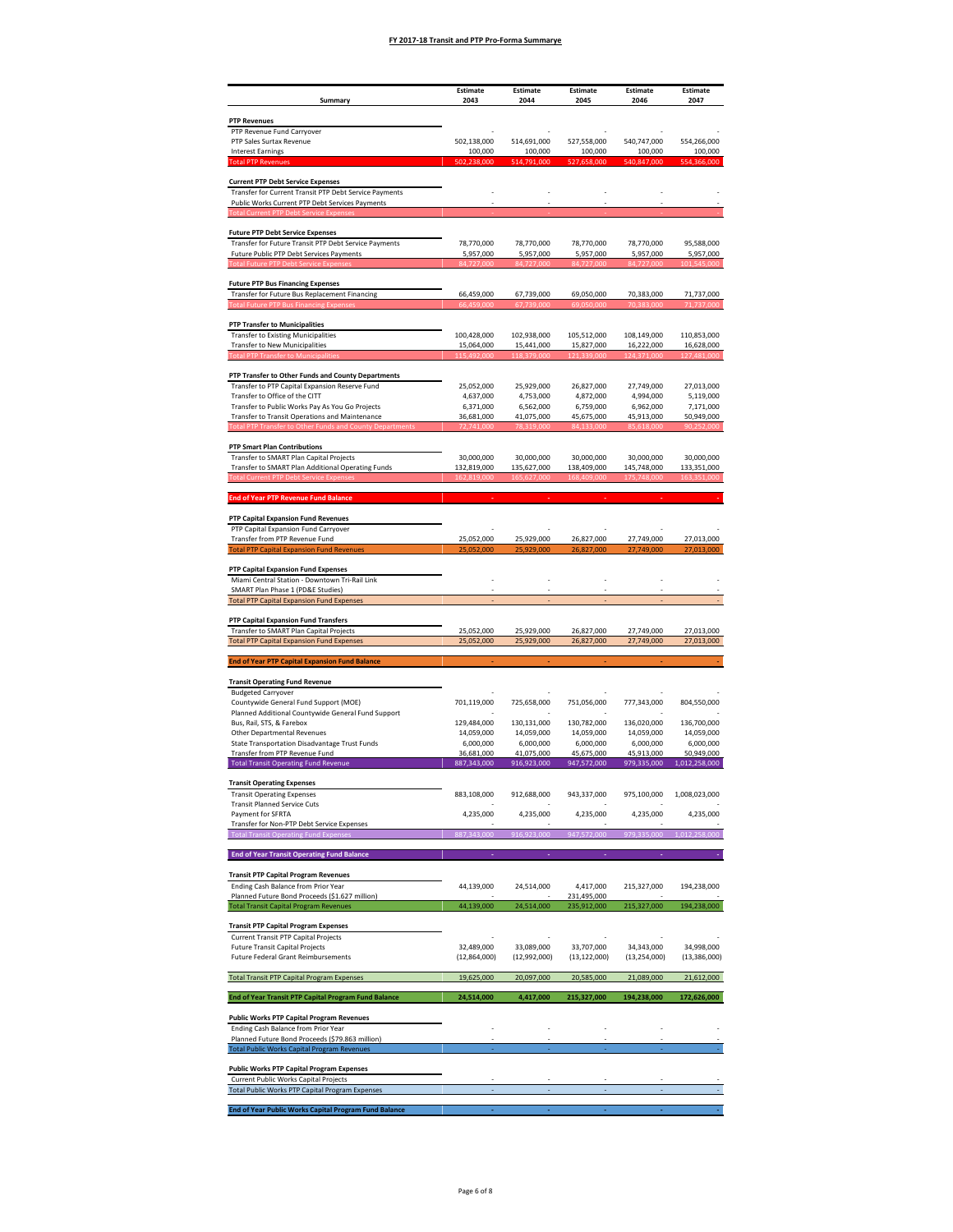|                                                                                                       | <b>Estimate</b>           | <b>Estimate</b>           | <b>Estimate</b>           | Estimate                  | Estimate                    |
|-------------------------------------------------------------------------------------------------------|---------------------------|---------------------------|---------------------------|---------------------------|-----------------------------|
| Summary                                                                                               | 2043                      | 2044                      | 2045                      | 2046                      | 2047                        |
| <b>PTP Revenues</b><br>PTP Revenue Fund Carryover                                                     |                           |                           |                           |                           |                             |
| PTP Sales Surtax Revenue                                                                              | 502,138,000               | 514,691,000               | 527,558,000               | 540,747,000               | 554,266,000                 |
| <b>Interest Earnings</b><br><b>Total PTP Reven</b>                                                    | 100,000                   | 100,000                   | 100,000                   | 100,000                   | 100,000<br>366.000          |
| <b>Current PTP Debt Service Expenses</b>                                                              |                           |                           |                           |                           |                             |
| Transfer for Current Transit PTP Debt Service Payments                                                |                           |                           |                           |                           |                             |
| Public Works Current PTP Debt Services Payments                                                       |                           |                           |                           |                           |                             |
| <b>Future PTP Debt Service Expenses</b>                                                               |                           |                           |                           |                           |                             |
| Transfer for Future Transit PTP Debt Service Payments                                                 | 78,770,000                | 78,770,000                | 78,770,000                | 78,770,000                | 95,588,000                  |
| Future Public PTP Debt Services Payments                                                              | 5,957,000                 | 5,957,000                 | 5,957,000                 | 5,957,000                 | 5,957,000                   |
|                                                                                                       |                           |                           |                           |                           |                             |
| <b>Future PTP Bus Financing Expenses</b><br>Transfer for Future Bus Replacement Financing             | 66,459,000                | 67,739,000                | 69,050,000                | 70,383,000                | 71,737,000                  |
| <b>Fotal Future PTP Bus Financing Expense</b>                                                         | 66.459.000                | 67.739.00                 | 69.050.000                | 20 383 000                |                             |
| <b>PTP Transfer to Municipalities</b>                                                                 |                           |                           |                           |                           |                             |
| <b>Transfer to Existing Municipalities</b><br><b>Transfer to New Municipalities</b>                   | 100,428,000<br>15,064,000 | 102,938,000<br>15,441,000 | 105,512,000<br>15,827,000 | 108,149,000<br>16,222,000 | 110,853,000<br>16,628,000   |
| <b>Total PTP Transfer to Municipalities</b>                                                           | 115,492,000               | 118,379,000               | 121,339,000               | 124,371,000               | 127,481,000                 |
| PTP Transfer to Other Funds and County Departments                                                    |                           |                           |                           |                           |                             |
| Transfer to PTP Capital Expansion Reserve Fund                                                        | 25,052,000                | 25,929,000                | 26,827,000                | 27,749,000                | 27,013,000                  |
| Transfer to Office of the CITT<br>Transfer to Public Works Pay As You Go Projects                     | 4,637,000<br>6,371,000    | 4,753,000<br>6,562,000    | 4,872,000<br>6,759,000    | 4,994,000<br>6,962,000    | 5,119,000<br>7,171,000      |
| Transfer to Transit Operations and Maintenance                                                        | 36,681,000                | 41,075,000                | 45,675,000                | 45,913,000                | 50,949,000                  |
| <b>Transfer to Other</b>                                                                              | 72.741.00                 |                           |                           | 85.618.000                | 90.252.000                  |
| <b>PTP Smart Plan Contributions</b>                                                                   |                           |                           |                           |                           |                             |
| Transfer to SMART Plan Capital Projects<br>Transfer to SMART Plan Additional Operating Funds          | 30,000,000<br>132,819,000 | 30,000,000<br>135,627,000 | 30,000,000<br>138,409,000 | 30,000,000<br>145,748,000 | 30,000,000<br>133,351,000   |
|                                                                                                       |                           |                           |                           |                           |                             |
| <b>End of Year PTP Revenue Fund Balance</b>                                                           |                           |                           |                           |                           |                             |
| PTP Capital Expansion Fund Revenues                                                                   |                           |                           |                           |                           |                             |
| PTP Capital Expansion Fund Carryover                                                                  |                           |                           |                           |                           |                             |
| Transfer from PTP Revenue Fund<br><b>Total PTP Capital Expansion Fund Revenues</b>                    | 25,052,000<br>25,052,000  | 25,929,000<br>25,929,000  | 26,827,000<br>26,827,000  | 27,749,000<br>27,749,000  | 27,013,000<br>27,013,000    |
|                                                                                                       |                           |                           |                           |                           |                             |
| PTP Capital Expansion Fund Expenses<br>Miami Central Station - Downtown Tri-Rail Link                 |                           |                           |                           |                           |                             |
| SMART Plan Phase 1 (PD&E Studies)                                                                     |                           |                           |                           |                           |                             |
| <b>Total PTP Capital Expansion Fund Expenses</b>                                                      |                           |                           |                           |                           |                             |
| PTP Capital Expansion Fund Transfers                                                                  |                           |                           |                           |                           |                             |
| Transfer to SMART Plan Capital Projects<br><b>Total PTP Capital Expansion Fund Expenses</b>           | 25,052,000<br>25,052,000  | 25,929,000<br>25,929,000  | 26,827,000<br>26,827,000  | 27,749,000<br>27,749,000  | 27,013,000<br>27,013,000    |
| <b>End of Year PTP Capital Expansion Fund Balance</b>                                                 |                           |                           |                           |                           |                             |
|                                                                                                       |                           |                           |                           |                           |                             |
| <b>Transit Operating Fund Revenue</b><br><b>Budgeted Carryover</b>                                    |                           |                           |                           |                           |                             |
| Countywide General Fund Support (MOE)                                                                 | 701,119,000               | 725,658,000               | 751,056,000               | 777,343,000               | 804,550,000                 |
| Planned Additional Countywide General Fund Support<br>Bus, Rail, STS, & Farebox                       | 129,484,000               | 130,131,000               | 130,782,000               | 136,020,000               | 136,700,000                 |
| Other Departmental Revenues                                                                           | 14,059,000                | 14,059,000                | 14,059,000                | 14,059,000                | 14,059,000                  |
| State Transportation Disadvantage Trust Funds                                                         | 6,000,000                 | 6,000,000                 | 6,000,000                 | 6,000,000                 | 6,000,000                   |
| Transfer from PTP Revenue Fund<br><b>Total Transit Operating Fund Revenue</b>                         | 36,681,000<br>887,343,000 | 41,075,000<br>916,923,000 | 45,675,000<br>947,572,000 | 45,913,000<br>979,335,000 | 50,949,000<br>1,012,258,000 |
| <b>Transit Operating Expenses</b>                                                                     |                           |                           |                           |                           |                             |
| <b>Transit Operating Expenses</b>                                                                     | 883,108,000               | 912,688,000               | 943,337,000               | 975,100,000               | 1,008,023,000               |
| <b>Transit Planned Service Cuts</b><br>Payment for SFRTA                                              | 4,235,000                 | 4,235,000                 | 4,235,000                 | 4,235,000                 | 4,235,000                   |
| Transfer for Non-PTP Debt Service Expenses                                                            |                           |                           |                           |                           |                             |
| <b>Total Transit Operating Fund Expense</b>                                                           | 87,343,000                | 16,923,000                | 947,572,000               | 979,335,000               | 012,258,000                 |
| <b>End of Year Transit Operating Fund Balance</b>                                                     |                           |                           |                           |                           |                             |
| <b>Transit PTP Capital Program Revenues</b>                                                           |                           |                           |                           |                           |                             |
| Ending Cash Balance from Prior Year<br>Planned Future Bond Proceeds (\$1.627 million)                 | 44,139,000                | 24,514,000                | 4,417,000<br>231,495,000  | 215,327,000               | 194,238,000                 |
| <b>Total Transit Capital Program Revenues</b>                                                         | 44,139,000                | 24,514,000                | 235,912,000               | 215,327,000               | 194,238,000                 |
| <b>Transit PTP Capital Program Expenses</b>                                                           |                           |                           |                           |                           |                             |
| Current Transit PTP Capital Projects                                                                  |                           |                           |                           |                           |                             |
| <b>Future Transit Capital Projects</b>                                                                | 32.489.000                | 33,089,000                | 33,707,000                | 34,343,000                | 34,998,000                  |
| <b>Future Federal Grant Reimbursements</b>                                                            | (12,864,000)              | (12,992,000)              | (13, 122, 000)            | (13, 254, 000)            | (13, 386, 000)              |
| <b>Total Transit PTP Capital Program Expenses</b>                                                     | 19,625,000                | 20,097,000                | 20,585,000                | 21,089,000                | 21,612,000                  |
| End of Year Transit PTP Capital Program Fund Balance                                                  | 24,514,000                | 4,417,000                 | 215,327,000               | 194,238,000               | 172,626,000                 |
| <b>Public Works PTP Capital Program Revenues</b>                                                      |                           |                           |                           |                           |                             |
| Ending Cash Balance from Prior Year                                                                   |                           |                           |                           |                           |                             |
| Planned Future Bond Proceeds (\$79.863 million)<br><b>Total Public Works Capital Program Revenues</b> |                           |                           |                           |                           |                             |
|                                                                                                       |                           |                           |                           |                           |                             |
| <b>Public Works PTP Capital Program Expenses</b><br><b>Current Public Works Capital Projects</b>      |                           |                           |                           |                           |                             |
| <b>Total Public Works PTP Capital Program Expenses</b>                                                |                           |                           |                           |                           |                             |
| End of Year Public Works Capital Program Fund Balance                                                 |                           |                           |                           |                           |                             |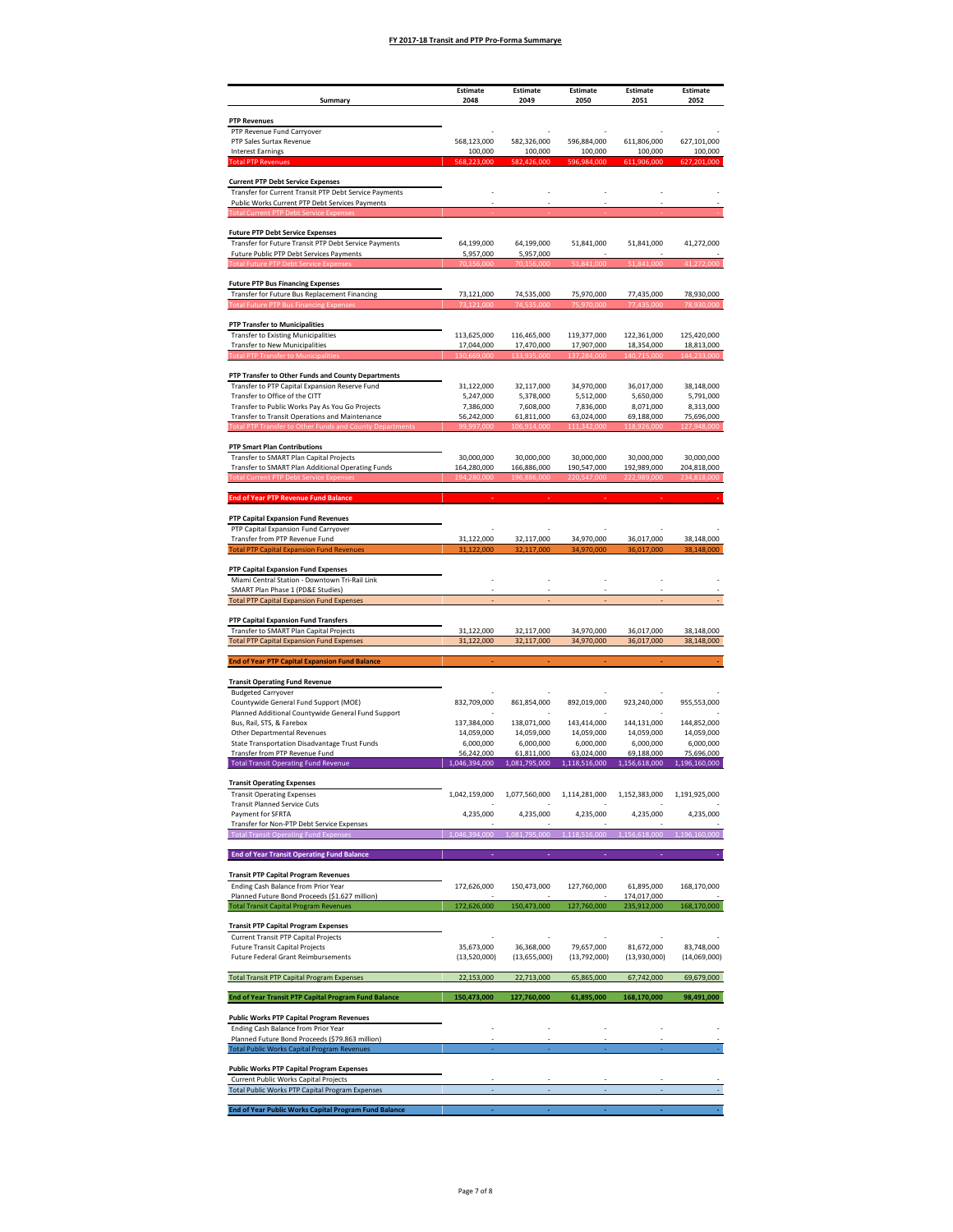| <b>PTP Revenues</b><br>PTP Revenue Fund Carryover<br>PTP Sales Surtax Revenue<br>568,123,000<br>582,326,000<br>596,884,000<br>611,806,000<br><b>Interest Earnings</b><br>100,000<br>100,000<br>100,000<br>100,000<br><b>Total PTP Reven</b><br>201.000<br><b>Current PTP Debt Service Expenses</b><br>Transfer for Current Transit PTP Debt Service Payments<br>Public Works Current PTP Debt Services Payments<br><b>Future PTP Debt Service Expenses</b><br>Transfer for Future Transit PTP Debt Service Payments<br>64,199,000<br>64,199,000<br>51,841,000<br>51,841,000<br>41,272,000<br>5,957,000<br>5,957,000<br>Future Public PTP Debt Services Payments<br>Transfer for Future Bus Replacement Financing<br>74,535,000<br>75,970,000<br>78,930,000<br>73,121,000<br>77,435,000<br><b>Fotal Future PTP Bus Financing Expense</b><br>73 121 00<br>74.535.00<br>75.970.000<br>78.930.000<br><b>PTP Transfer to Municipalities</b><br><b>Transfer to Existing Municipalities</b><br>113,625,000<br>116,465,000<br>119,377,000<br>122,361,000<br><b>Transfer to New Municipalities</b><br>17,044,000<br>17,470,000<br>17,907,000<br>18,354,000<br><b>Total PTP Transfer to Municipalities</b><br>130,669,000<br>133,935,000<br>137,284,000<br>140,715,000<br>144,233,000<br>Transfer to PTP Capital Expansion Reserve Fund<br>31,122,000<br>32,117,000<br>34,970,000<br>36,017,000<br>38,148,000<br>Transfer to Office of the CITT<br>5,247,000<br>5,378,000<br>5,512,000<br>5,650,000<br>Transfer to Public Works Pay As You Go Projects<br>7,836,000<br>7,386,000<br>7,608,000<br>8,071,000<br>Transfer to Transit Operations and Maintenance<br>56,242,000<br>61,811,000<br>63,024,000<br>69,188,000<br>75,696,000<br>127.948.000<br>18.926.00<br><b>PTP Smart Plan Contributions</b><br>Transfer to SMART Plan Capital Projects<br>30,000,000<br>30,000,000<br>30,000,000<br>30,000,000<br>30,000,000<br>Transfer to SMART Plan Additional Operating Funds<br>164,280,000<br>166,886,000<br>190,547,000<br>192,989,000<br>204,818,000<br>234.818.0<br><b>End of Year PTP Revenue Fund Balance</b><br>PTP Capital Expansion Fund Revenues<br>PTP Capital Expansion Fund Carryover<br>Transfer from PTP Revenue Fund<br>34,970,000<br>31,122,000<br>32,117,000<br>36,017,000<br>31,122,000<br><b>Total PTP Capital Expansion Fund Revenues</b><br>32,117,000<br>34,970,000<br>36,017,000<br>38,148,000<br>PTP Capital Expansion Fund Expenses<br>Miami Central Station - Downtown Tri-Rail Link<br>SMART Plan Phase 1 (PD&E Studies)<br><b>Total PTP Capital Expansion Fund Expenses</b><br>PTP Capital Expansion Fund Transfers<br>Transfer to SMART Plan Capital Projects<br>34,970,000<br>31,122,000<br>32,117,000<br>36,017,000<br>34,970,000<br>36,017,000<br><b>Total PTP Capital Expansion Fund Expenses</b><br>31,122,000<br>32,117,000<br>38,148,000<br><b>End of Year PTP Capital Expansion Fund Balance</b><br><b>Transit Operating Fund Revenue</b><br><b>Budgeted Carryover</b><br>892,019,000<br>Countywide General Fund Support (MOE)<br>832,709,000<br>861,854,000<br>923,240,000<br>955,553,000<br>Planned Additional Countywide General Fund Support<br>Bus, Rail, STS, & Farebox<br>137,384,000<br>138,071,000<br>143,414,000<br>144,131,000<br>144,852,000<br>14,059,000<br>Other Departmental Revenues<br>14,059,000<br>14,059,000<br>14,059,000<br>14,059,000<br>State Transportation Disadvantage Trust Funds<br>6,000,000<br>6,000,000<br>6,000,000<br>6,000,000<br>Transfer from PTP Revenue Fund<br>56,242,000<br>61,811,000<br>63,024,000<br>69,188,000<br>75,696,000<br>1,046,394,000<br>1,081,795,000<br>1,118,516,000<br>1,196,160,000<br><b>Total Transit Operating Fund Revenue</b><br>1,156,618,000<br><b>Transit Operating Expenses</b><br>1,042,159,000<br>1,077,560,000<br><b>Transit Operating Expenses</b><br>1,114,281,000<br>1,152,383,000<br>1,191,925,000<br><b>Transit Planned Service Cuts</b><br>Payment for SFRTA<br>4,235,000<br>4,235,000<br>4,235,000<br>4,235,000<br>4,235,000<br>Transfer for Non-PTP Debt Service Expenses<br>046,394,000<br>081.795.000<br>18,516,000<br>156,618,000<br>196,160,000<br><b>Total Transit Operating Fund Expense:</b><br><b>End of Year Transit Operating Fund Balance</b><br><b>Transit PTP Capital Program Revenues</b><br>Ending Cash Balance from Prior Year<br>172,626,000<br>150,473,000<br>127,760,000<br>61,895,000<br>168,170,000<br>Planned Future Bond Proceeds (\$1.627 million)<br>174,017,000<br>172,626,000<br>168,170,000<br><b>Total Transit Capital Program Revenues</b><br>150,473,000<br>127,760,000<br>235,912,000<br><b>Transit PTP Capital Program Expenses</b><br>Current Transit PTP Capital Projects<br><b>Future Transit Capital Projects</b><br>35.673.000<br>36,368,000<br>79,657,000<br>81.672.000<br>83,748,000<br><b>Future Federal Grant Reimbursements</b><br>(13, 655, 000)<br>(13,520,000)<br>(13,792,000)<br>(13,930,000)<br>(14,069,000)<br><b>Total Transit PTP Capital Program Expenses</b><br>22,153,000<br>22,713,000<br>65,865,000<br>67,742,000<br>150,473,000<br>127,760,000<br>61,895,000<br>168,170,000<br>98,491,000<br>End of Year Transit PTP Capital Program Fund Balance<br><b>Public Works PTP Capital Program Revenues</b><br>Ending Cash Balance from Prior Year<br>Planned Future Bond Proceeds (\$79.863 million)<br><b>Total Public Works Capital Program Revenues</b><br><b>Public Works PTP Capital Program Expenses</b><br><b>Current Public Works Capital Projects</b><br><b>Total Public Works PTP Capital Program Expenses</b> |                                                    | <b>Estimate</b> | <b>Estimate</b> | <b>Estimate</b> | Estimate | Estimate    |
|----------------------------------------------------------------------------------------------------------------------------------------------------------------------------------------------------------------------------------------------------------------------------------------------------------------------------------------------------------------------------------------------------------------------------------------------------------------------------------------------------------------------------------------------------------------------------------------------------------------------------------------------------------------------------------------------------------------------------------------------------------------------------------------------------------------------------------------------------------------------------------------------------------------------------------------------------------------------------------------------------------------------------------------------------------------------------------------------------------------------------------------------------------------------------------------------------------------------------------------------------------------------------------------------------------------------------------------------------------------------------------------------------------------------------------------------------------------------------------------------------------------------------------------------------------------------------------------------------------------------------------------------------------------------------------------------------------------------------------------------------------------------------------------------------------------------------------------------------------------------------------------------------------------------------------------------------------------------------------------------------------------------------------------------------------------------------------------------------------------------------------------------------------------------------------------------------------------------------------------------------------------------------------------------------------------------------------------------------------------------------------------------------------------------------------------------------------------------------------------------------------------------------------------------------------------------------------------------------------------------------------------------------------------------------------------------------------------------------------------------------------------------------------------------------------------------------------------------------------------------------------------------------------------------------------------------------------------------------------------------------------------------------------------------------------------------------------------------------------------------------------------------------------------------------------------------------------------------------------------------------------------------------------------------------------------------------------------------------------------------------------------------------------------------------------------------------------------------------------------------------------------------------------------------------------------------------------------------------------------------------------------------------------------------------------------------------------------------------------------------------------------------------------------------------------------------------------------------------------------------------------------------------------------------------------------------------------------------------------------------------------------------------------------------------------------------------------------------------------------------------------------------------------------------------------------------------------------------------------------------------------------------------------------------------------------------------------------------------------------------------------------------------------------------------------------------------------------------------------------------------------------------------------------------------------------------------------------------------------------------------------------------------------------------------------------------------------------------------------------------------------------------------------------------------------------------------------------------------------------------------------------------------------------------------------------------------------------------------------------------------------------------------------------------------------------------------------------------------------------------------------------------------------------------------------------------------------------------------------------------------------------------------------------------------------------------------------------------------------------------------------------------------------------------------------------------------------------------------------------------------------------------------------------------------------------------------------------|----------------------------------------------------|-----------------|-----------------|-----------------|----------|-------------|
|                                                                                                                                                                                                                                                                                                                                                                                                                                                                                                                                                                                                                                                                                                                                                                                                                                                                                                                                                                                                                                                                                                                                                                                                                                                                                                                                                                                                                                                                                                                                                                                                                                                                                                                                                                                                                                                                                                                                                                                                                                                                                                                                                                                                                                                                                                                                                                                                                                                                                                                                                                                                                                                                                                                                                                                                                                                                                                                                                                                                                                                                                                                                                                                                                                                                                                                                                                                                                                                                                                                                                                                                                                                                                                                                                                                                                                                                                                                                                                                                                                                                                                                                                                                                                                                                                                                                                                                                                                                                                                                                                                                                                                                                                                                                                                                                                                                                                                                                                                                                                                                                                                                                                                                                                                                                                                                                                                                                                                                                                                                                                                                        | Summary                                            | 2048            | 2049            | 2050            | 2051     | 2052        |
|                                                                                                                                                                                                                                                                                                                                                                                                                                                                                                                                                                                                                                                                                                                                                                                                                                                                                                                                                                                                                                                                                                                                                                                                                                                                                                                                                                                                                                                                                                                                                                                                                                                                                                                                                                                                                                                                                                                                                                                                                                                                                                                                                                                                                                                                                                                                                                                                                                                                                                                                                                                                                                                                                                                                                                                                                                                                                                                                                                                                                                                                                                                                                                                                                                                                                                                                                                                                                                                                                                                                                                                                                                                                                                                                                                                                                                                                                                                                                                                                                                                                                                                                                                                                                                                                                                                                                                                                                                                                                                                                                                                                                                                                                                                                                                                                                                                                                                                                                                                                                                                                                                                                                                                                                                                                                                                                                                                                                                                                                                                                                                                        |                                                    |                 |                 |                 |          |             |
|                                                                                                                                                                                                                                                                                                                                                                                                                                                                                                                                                                                                                                                                                                                                                                                                                                                                                                                                                                                                                                                                                                                                                                                                                                                                                                                                                                                                                                                                                                                                                                                                                                                                                                                                                                                                                                                                                                                                                                                                                                                                                                                                                                                                                                                                                                                                                                                                                                                                                                                                                                                                                                                                                                                                                                                                                                                                                                                                                                                                                                                                                                                                                                                                                                                                                                                                                                                                                                                                                                                                                                                                                                                                                                                                                                                                                                                                                                                                                                                                                                                                                                                                                                                                                                                                                                                                                                                                                                                                                                                                                                                                                                                                                                                                                                                                                                                                                                                                                                                                                                                                                                                                                                                                                                                                                                                                                                                                                                                                                                                                                                                        |                                                    |                 |                 |                 |          | 627,101,000 |
|                                                                                                                                                                                                                                                                                                                                                                                                                                                                                                                                                                                                                                                                                                                                                                                                                                                                                                                                                                                                                                                                                                                                                                                                                                                                                                                                                                                                                                                                                                                                                                                                                                                                                                                                                                                                                                                                                                                                                                                                                                                                                                                                                                                                                                                                                                                                                                                                                                                                                                                                                                                                                                                                                                                                                                                                                                                                                                                                                                                                                                                                                                                                                                                                                                                                                                                                                                                                                                                                                                                                                                                                                                                                                                                                                                                                                                                                                                                                                                                                                                                                                                                                                                                                                                                                                                                                                                                                                                                                                                                                                                                                                                                                                                                                                                                                                                                                                                                                                                                                                                                                                                                                                                                                                                                                                                                                                                                                                                                                                                                                                                                        |                                                    |                 |                 |                 |          | 100,000     |
|                                                                                                                                                                                                                                                                                                                                                                                                                                                                                                                                                                                                                                                                                                                                                                                                                                                                                                                                                                                                                                                                                                                                                                                                                                                                                                                                                                                                                                                                                                                                                                                                                                                                                                                                                                                                                                                                                                                                                                                                                                                                                                                                                                                                                                                                                                                                                                                                                                                                                                                                                                                                                                                                                                                                                                                                                                                                                                                                                                                                                                                                                                                                                                                                                                                                                                                                                                                                                                                                                                                                                                                                                                                                                                                                                                                                                                                                                                                                                                                                                                                                                                                                                                                                                                                                                                                                                                                                                                                                                                                                                                                                                                                                                                                                                                                                                                                                                                                                                                                                                                                                                                                                                                                                                                                                                                                                                                                                                                                                                                                                                                                        |                                                    |                 |                 |                 |          |             |
|                                                                                                                                                                                                                                                                                                                                                                                                                                                                                                                                                                                                                                                                                                                                                                                                                                                                                                                                                                                                                                                                                                                                                                                                                                                                                                                                                                                                                                                                                                                                                                                                                                                                                                                                                                                                                                                                                                                                                                                                                                                                                                                                                                                                                                                                                                                                                                                                                                                                                                                                                                                                                                                                                                                                                                                                                                                                                                                                                                                                                                                                                                                                                                                                                                                                                                                                                                                                                                                                                                                                                                                                                                                                                                                                                                                                                                                                                                                                                                                                                                                                                                                                                                                                                                                                                                                                                                                                                                                                                                                                                                                                                                                                                                                                                                                                                                                                                                                                                                                                                                                                                                                                                                                                                                                                                                                                                                                                                                                                                                                                                                                        |                                                    |                 |                 |                 |          |             |
|                                                                                                                                                                                                                                                                                                                                                                                                                                                                                                                                                                                                                                                                                                                                                                                                                                                                                                                                                                                                                                                                                                                                                                                                                                                                                                                                                                                                                                                                                                                                                                                                                                                                                                                                                                                                                                                                                                                                                                                                                                                                                                                                                                                                                                                                                                                                                                                                                                                                                                                                                                                                                                                                                                                                                                                                                                                                                                                                                                                                                                                                                                                                                                                                                                                                                                                                                                                                                                                                                                                                                                                                                                                                                                                                                                                                                                                                                                                                                                                                                                                                                                                                                                                                                                                                                                                                                                                                                                                                                                                                                                                                                                                                                                                                                                                                                                                                                                                                                                                                                                                                                                                                                                                                                                                                                                                                                                                                                                                                                                                                                                                        |                                                    |                 |                 |                 |          |             |
|                                                                                                                                                                                                                                                                                                                                                                                                                                                                                                                                                                                                                                                                                                                                                                                                                                                                                                                                                                                                                                                                                                                                                                                                                                                                                                                                                                                                                                                                                                                                                                                                                                                                                                                                                                                                                                                                                                                                                                                                                                                                                                                                                                                                                                                                                                                                                                                                                                                                                                                                                                                                                                                                                                                                                                                                                                                                                                                                                                                                                                                                                                                                                                                                                                                                                                                                                                                                                                                                                                                                                                                                                                                                                                                                                                                                                                                                                                                                                                                                                                                                                                                                                                                                                                                                                                                                                                                                                                                                                                                                                                                                                                                                                                                                                                                                                                                                                                                                                                                                                                                                                                                                                                                                                                                                                                                                                                                                                                                                                                                                                                                        |                                                    |                 |                 |                 |          |             |
|                                                                                                                                                                                                                                                                                                                                                                                                                                                                                                                                                                                                                                                                                                                                                                                                                                                                                                                                                                                                                                                                                                                                                                                                                                                                                                                                                                                                                                                                                                                                                                                                                                                                                                                                                                                                                                                                                                                                                                                                                                                                                                                                                                                                                                                                                                                                                                                                                                                                                                                                                                                                                                                                                                                                                                                                                                                                                                                                                                                                                                                                                                                                                                                                                                                                                                                                                                                                                                                                                                                                                                                                                                                                                                                                                                                                                                                                                                                                                                                                                                                                                                                                                                                                                                                                                                                                                                                                                                                                                                                                                                                                                                                                                                                                                                                                                                                                                                                                                                                                                                                                                                                                                                                                                                                                                                                                                                                                                                                                                                                                                                                        |                                                    |                 |                 |                 |          |             |
|                                                                                                                                                                                                                                                                                                                                                                                                                                                                                                                                                                                                                                                                                                                                                                                                                                                                                                                                                                                                                                                                                                                                                                                                                                                                                                                                                                                                                                                                                                                                                                                                                                                                                                                                                                                                                                                                                                                                                                                                                                                                                                                                                                                                                                                                                                                                                                                                                                                                                                                                                                                                                                                                                                                                                                                                                                                                                                                                                                                                                                                                                                                                                                                                                                                                                                                                                                                                                                                                                                                                                                                                                                                                                                                                                                                                                                                                                                                                                                                                                                                                                                                                                                                                                                                                                                                                                                                                                                                                                                                                                                                                                                                                                                                                                                                                                                                                                                                                                                                                                                                                                                                                                                                                                                                                                                                                                                                                                                                                                                                                                                                        |                                                    |                 |                 |                 |          |             |
|                                                                                                                                                                                                                                                                                                                                                                                                                                                                                                                                                                                                                                                                                                                                                                                                                                                                                                                                                                                                                                                                                                                                                                                                                                                                                                                                                                                                                                                                                                                                                                                                                                                                                                                                                                                                                                                                                                                                                                                                                                                                                                                                                                                                                                                                                                                                                                                                                                                                                                                                                                                                                                                                                                                                                                                                                                                                                                                                                                                                                                                                                                                                                                                                                                                                                                                                                                                                                                                                                                                                                                                                                                                                                                                                                                                                                                                                                                                                                                                                                                                                                                                                                                                                                                                                                                                                                                                                                                                                                                                                                                                                                                                                                                                                                                                                                                                                                                                                                                                                                                                                                                                                                                                                                                                                                                                                                                                                                                                                                                                                                                                        |                                                    |                 |                 |                 |          |             |
|                                                                                                                                                                                                                                                                                                                                                                                                                                                                                                                                                                                                                                                                                                                                                                                                                                                                                                                                                                                                                                                                                                                                                                                                                                                                                                                                                                                                                                                                                                                                                                                                                                                                                                                                                                                                                                                                                                                                                                                                                                                                                                                                                                                                                                                                                                                                                                                                                                                                                                                                                                                                                                                                                                                                                                                                                                                                                                                                                                                                                                                                                                                                                                                                                                                                                                                                                                                                                                                                                                                                                                                                                                                                                                                                                                                                                                                                                                                                                                                                                                                                                                                                                                                                                                                                                                                                                                                                                                                                                                                                                                                                                                                                                                                                                                                                                                                                                                                                                                                                                                                                                                                                                                                                                                                                                                                                                                                                                                                                                                                                                                                        | <b>Future PTP Bus Financing Expenses</b>           |                 |                 |                 |          |             |
|                                                                                                                                                                                                                                                                                                                                                                                                                                                                                                                                                                                                                                                                                                                                                                                                                                                                                                                                                                                                                                                                                                                                                                                                                                                                                                                                                                                                                                                                                                                                                                                                                                                                                                                                                                                                                                                                                                                                                                                                                                                                                                                                                                                                                                                                                                                                                                                                                                                                                                                                                                                                                                                                                                                                                                                                                                                                                                                                                                                                                                                                                                                                                                                                                                                                                                                                                                                                                                                                                                                                                                                                                                                                                                                                                                                                                                                                                                                                                                                                                                                                                                                                                                                                                                                                                                                                                                                                                                                                                                                                                                                                                                                                                                                                                                                                                                                                                                                                                                                                                                                                                                                                                                                                                                                                                                                                                                                                                                                                                                                                                                                        |                                                    |                 |                 |                 |          |             |
|                                                                                                                                                                                                                                                                                                                                                                                                                                                                                                                                                                                                                                                                                                                                                                                                                                                                                                                                                                                                                                                                                                                                                                                                                                                                                                                                                                                                                                                                                                                                                                                                                                                                                                                                                                                                                                                                                                                                                                                                                                                                                                                                                                                                                                                                                                                                                                                                                                                                                                                                                                                                                                                                                                                                                                                                                                                                                                                                                                                                                                                                                                                                                                                                                                                                                                                                                                                                                                                                                                                                                                                                                                                                                                                                                                                                                                                                                                                                                                                                                                                                                                                                                                                                                                                                                                                                                                                                                                                                                                                                                                                                                                                                                                                                                                                                                                                                                                                                                                                                                                                                                                                                                                                                                                                                                                                                                                                                                                                                                                                                                                                        |                                                    |                 |                 |                 |          |             |
|                                                                                                                                                                                                                                                                                                                                                                                                                                                                                                                                                                                                                                                                                                                                                                                                                                                                                                                                                                                                                                                                                                                                                                                                                                                                                                                                                                                                                                                                                                                                                                                                                                                                                                                                                                                                                                                                                                                                                                                                                                                                                                                                                                                                                                                                                                                                                                                                                                                                                                                                                                                                                                                                                                                                                                                                                                                                                                                                                                                                                                                                                                                                                                                                                                                                                                                                                                                                                                                                                                                                                                                                                                                                                                                                                                                                                                                                                                                                                                                                                                                                                                                                                                                                                                                                                                                                                                                                                                                                                                                                                                                                                                                                                                                                                                                                                                                                                                                                                                                                                                                                                                                                                                                                                                                                                                                                                                                                                                                                                                                                                                                        |                                                    |                 |                 |                 |          | 125,420,000 |
|                                                                                                                                                                                                                                                                                                                                                                                                                                                                                                                                                                                                                                                                                                                                                                                                                                                                                                                                                                                                                                                                                                                                                                                                                                                                                                                                                                                                                                                                                                                                                                                                                                                                                                                                                                                                                                                                                                                                                                                                                                                                                                                                                                                                                                                                                                                                                                                                                                                                                                                                                                                                                                                                                                                                                                                                                                                                                                                                                                                                                                                                                                                                                                                                                                                                                                                                                                                                                                                                                                                                                                                                                                                                                                                                                                                                                                                                                                                                                                                                                                                                                                                                                                                                                                                                                                                                                                                                                                                                                                                                                                                                                                                                                                                                                                                                                                                                                                                                                                                                                                                                                                                                                                                                                                                                                                                                                                                                                                                                                                                                                                                        |                                                    |                 |                 |                 |          | 18,813,000  |
|                                                                                                                                                                                                                                                                                                                                                                                                                                                                                                                                                                                                                                                                                                                                                                                                                                                                                                                                                                                                                                                                                                                                                                                                                                                                                                                                                                                                                                                                                                                                                                                                                                                                                                                                                                                                                                                                                                                                                                                                                                                                                                                                                                                                                                                                                                                                                                                                                                                                                                                                                                                                                                                                                                                                                                                                                                                                                                                                                                                                                                                                                                                                                                                                                                                                                                                                                                                                                                                                                                                                                                                                                                                                                                                                                                                                                                                                                                                                                                                                                                                                                                                                                                                                                                                                                                                                                                                                                                                                                                                                                                                                                                                                                                                                                                                                                                                                                                                                                                                                                                                                                                                                                                                                                                                                                                                                                                                                                                                                                                                                                                                        |                                                    |                 |                 |                 |          |             |
|                                                                                                                                                                                                                                                                                                                                                                                                                                                                                                                                                                                                                                                                                                                                                                                                                                                                                                                                                                                                                                                                                                                                                                                                                                                                                                                                                                                                                                                                                                                                                                                                                                                                                                                                                                                                                                                                                                                                                                                                                                                                                                                                                                                                                                                                                                                                                                                                                                                                                                                                                                                                                                                                                                                                                                                                                                                                                                                                                                                                                                                                                                                                                                                                                                                                                                                                                                                                                                                                                                                                                                                                                                                                                                                                                                                                                                                                                                                                                                                                                                                                                                                                                                                                                                                                                                                                                                                                                                                                                                                                                                                                                                                                                                                                                                                                                                                                                                                                                                                                                                                                                                                                                                                                                                                                                                                                                                                                                                                                                                                                                                                        | PTP Transfer to Other Funds and County Departments |                 |                 |                 |          |             |
|                                                                                                                                                                                                                                                                                                                                                                                                                                                                                                                                                                                                                                                                                                                                                                                                                                                                                                                                                                                                                                                                                                                                                                                                                                                                                                                                                                                                                                                                                                                                                                                                                                                                                                                                                                                                                                                                                                                                                                                                                                                                                                                                                                                                                                                                                                                                                                                                                                                                                                                                                                                                                                                                                                                                                                                                                                                                                                                                                                                                                                                                                                                                                                                                                                                                                                                                                                                                                                                                                                                                                                                                                                                                                                                                                                                                                                                                                                                                                                                                                                                                                                                                                                                                                                                                                                                                                                                                                                                                                                                                                                                                                                                                                                                                                                                                                                                                                                                                                                                                                                                                                                                                                                                                                                                                                                                                                                                                                                                                                                                                                                                        |                                                    |                 |                 |                 |          | 5,791,000   |
|                                                                                                                                                                                                                                                                                                                                                                                                                                                                                                                                                                                                                                                                                                                                                                                                                                                                                                                                                                                                                                                                                                                                                                                                                                                                                                                                                                                                                                                                                                                                                                                                                                                                                                                                                                                                                                                                                                                                                                                                                                                                                                                                                                                                                                                                                                                                                                                                                                                                                                                                                                                                                                                                                                                                                                                                                                                                                                                                                                                                                                                                                                                                                                                                                                                                                                                                                                                                                                                                                                                                                                                                                                                                                                                                                                                                                                                                                                                                                                                                                                                                                                                                                                                                                                                                                                                                                                                                                                                                                                                                                                                                                                                                                                                                                                                                                                                                                                                                                                                                                                                                                                                                                                                                                                                                                                                                                                                                                                                                                                                                                                                        |                                                    |                 |                 |                 |          | 8,313,000   |
|                                                                                                                                                                                                                                                                                                                                                                                                                                                                                                                                                                                                                                                                                                                                                                                                                                                                                                                                                                                                                                                                                                                                                                                                                                                                                                                                                                                                                                                                                                                                                                                                                                                                                                                                                                                                                                                                                                                                                                                                                                                                                                                                                                                                                                                                                                                                                                                                                                                                                                                                                                                                                                                                                                                                                                                                                                                                                                                                                                                                                                                                                                                                                                                                                                                                                                                                                                                                                                                                                                                                                                                                                                                                                                                                                                                                                                                                                                                                                                                                                                                                                                                                                                                                                                                                                                                                                                                                                                                                                                                                                                                                                                                                                                                                                                                                                                                                                                                                                                                                                                                                                                                                                                                                                                                                                                                                                                                                                                                                                                                                                                                        |                                                    |                 |                 |                 |          |             |
|                                                                                                                                                                                                                                                                                                                                                                                                                                                                                                                                                                                                                                                                                                                                                                                                                                                                                                                                                                                                                                                                                                                                                                                                                                                                                                                                                                                                                                                                                                                                                                                                                                                                                                                                                                                                                                                                                                                                                                                                                                                                                                                                                                                                                                                                                                                                                                                                                                                                                                                                                                                                                                                                                                                                                                                                                                                                                                                                                                                                                                                                                                                                                                                                                                                                                                                                                                                                                                                                                                                                                                                                                                                                                                                                                                                                                                                                                                                                                                                                                                                                                                                                                                                                                                                                                                                                                                                                                                                                                                                                                                                                                                                                                                                                                                                                                                                                                                                                                                                                                                                                                                                                                                                                                                                                                                                                                                                                                                                                                                                                                                                        |                                                    |                 |                 |                 |          |             |
|                                                                                                                                                                                                                                                                                                                                                                                                                                                                                                                                                                                                                                                                                                                                                                                                                                                                                                                                                                                                                                                                                                                                                                                                                                                                                                                                                                                                                                                                                                                                                                                                                                                                                                                                                                                                                                                                                                                                                                                                                                                                                                                                                                                                                                                                                                                                                                                                                                                                                                                                                                                                                                                                                                                                                                                                                                                                                                                                                                                                                                                                                                                                                                                                                                                                                                                                                                                                                                                                                                                                                                                                                                                                                                                                                                                                                                                                                                                                                                                                                                                                                                                                                                                                                                                                                                                                                                                                                                                                                                                                                                                                                                                                                                                                                                                                                                                                                                                                                                                                                                                                                                                                                                                                                                                                                                                                                                                                                                                                                                                                                                                        |                                                    |                 |                 |                 |          |             |
|                                                                                                                                                                                                                                                                                                                                                                                                                                                                                                                                                                                                                                                                                                                                                                                                                                                                                                                                                                                                                                                                                                                                                                                                                                                                                                                                                                                                                                                                                                                                                                                                                                                                                                                                                                                                                                                                                                                                                                                                                                                                                                                                                                                                                                                                                                                                                                                                                                                                                                                                                                                                                                                                                                                                                                                                                                                                                                                                                                                                                                                                                                                                                                                                                                                                                                                                                                                                                                                                                                                                                                                                                                                                                                                                                                                                                                                                                                                                                                                                                                                                                                                                                                                                                                                                                                                                                                                                                                                                                                                                                                                                                                                                                                                                                                                                                                                                                                                                                                                                                                                                                                                                                                                                                                                                                                                                                                                                                                                                                                                                                                                        |                                                    |                 |                 |                 |          |             |
|                                                                                                                                                                                                                                                                                                                                                                                                                                                                                                                                                                                                                                                                                                                                                                                                                                                                                                                                                                                                                                                                                                                                                                                                                                                                                                                                                                                                                                                                                                                                                                                                                                                                                                                                                                                                                                                                                                                                                                                                                                                                                                                                                                                                                                                                                                                                                                                                                                                                                                                                                                                                                                                                                                                                                                                                                                                                                                                                                                                                                                                                                                                                                                                                                                                                                                                                                                                                                                                                                                                                                                                                                                                                                                                                                                                                                                                                                                                                                                                                                                                                                                                                                                                                                                                                                                                                                                                                                                                                                                                                                                                                                                                                                                                                                                                                                                                                                                                                                                                                                                                                                                                                                                                                                                                                                                                                                                                                                                                                                                                                                                                        |                                                    |                 |                 |                 |          |             |
|                                                                                                                                                                                                                                                                                                                                                                                                                                                                                                                                                                                                                                                                                                                                                                                                                                                                                                                                                                                                                                                                                                                                                                                                                                                                                                                                                                                                                                                                                                                                                                                                                                                                                                                                                                                                                                                                                                                                                                                                                                                                                                                                                                                                                                                                                                                                                                                                                                                                                                                                                                                                                                                                                                                                                                                                                                                                                                                                                                                                                                                                                                                                                                                                                                                                                                                                                                                                                                                                                                                                                                                                                                                                                                                                                                                                                                                                                                                                                                                                                                                                                                                                                                                                                                                                                                                                                                                                                                                                                                                                                                                                                                                                                                                                                                                                                                                                                                                                                                                                                                                                                                                                                                                                                                                                                                                                                                                                                                                                                                                                                                                        |                                                    |                 |                 |                 |          |             |
|                                                                                                                                                                                                                                                                                                                                                                                                                                                                                                                                                                                                                                                                                                                                                                                                                                                                                                                                                                                                                                                                                                                                                                                                                                                                                                                                                                                                                                                                                                                                                                                                                                                                                                                                                                                                                                                                                                                                                                                                                                                                                                                                                                                                                                                                                                                                                                                                                                                                                                                                                                                                                                                                                                                                                                                                                                                                                                                                                                                                                                                                                                                                                                                                                                                                                                                                                                                                                                                                                                                                                                                                                                                                                                                                                                                                                                                                                                                                                                                                                                                                                                                                                                                                                                                                                                                                                                                                                                                                                                                                                                                                                                                                                                                                                                                                                                                                                                                                                                                                                                                                                                                                                                                                                                                                                                                                                                                                                                                                                                                                                                                        |                                                    |                 |                 |                 |          |             |
|                                                                                                                                                                                                                                                                                                                                                                                                                                                                                                                                                                                                                                                                                                                                                                                                                                                                                                                                                                                                                                                                                                                                                                                                                                                                                                                                                                                                                                                                                                                                                                                                                                                                                                                                                                                                                                                                                                                                                                                                                                                                                                                                                                                                                                                                                                                                                                                                                                                                                                                                                                                                                                                                                                                                                                                                                                                                                                                                                                                                                                                                                                                                                                                                                                                                                                                                                                                                                                                                                                                                                                                                                                                                                                                                                                                                                                                                                                                                                                                                                                                                                                                                                                                                                                                                                                                                                                                                                                                                                                                                                                                                                                                                                                                                                                                                                                                                                                                                                                                                                                                                                                                                                                                                                                                                                                                                                                                                                                                                                                                                                                                        |                                                    |                 |                 |                 |          | 38,148,000  |
|                                                                                                                                                                                                                                                                                                                                                                                                                                                                                                                                                                                                                                                                                                                                                                                                                                                                                                                                                                                                                                                                                                                                                                                                                                                                                                                                                                                                                                                                                                                                                                                                                                                                                                                                                                                                                                                                                                                                                                                                                                                                                                                                                                                                                                                                                                                                                                                                                                                                                                                                                                                                                                                                                                                                                                                                                                                                                                                                                                                                                                                                                                                                                                                                                                                                                                                                                                                                                                                                                                                                                                                                                                                                                                                                                                                                                                                                                                                                                                                                                                                                                                                                                                                                                                                                                                                                                                                                                                                                                                                                                                                                                                                                                                                                                                                                                                                                                                                                                                                                                                                                                                                                                                                                                                                                                                                                                                                                                                                                                                                                                                                        |                                                    |                 |                 |                 |          |             |
|                                                                                                                                                                                                                                                                                                                                                                                                                                                                                                                                                                                                                                                                                                                                                                                                                                                                                                                                                                                                                                                                                                                                                                                                                                                                                                                                                                                                                                                                                                                                                                                                                                                                                                                                                                                                                                                                                                                                                                                                                                                                                                                                                                                                                                                                                                                                                                                                                                                                                                                                                                                                                                                                                                                                                                                                                                                                                                                                                                                                                                                                                                                                                                                                                                                                                                                                                                                                                                                                                                                                                                                                                                                                                                                                                                                                                                                                                                                                                                                                                                                                                                                                                                                                                                                                                                                                                                                                                                                                                                                                                                                                                                                                                                                                                                                                                                                                                                                                                                                                                                                                                                                                                                                                                                                                                                                                                                                                                                                                                                                                                                                        |                                                    |                 |                 |                 |          |             |
|                                                                                                                                                                                                                                                                                                                                                                                                                                                                                                                                                                                                                                                                                                                                                                                                                                                                                                                                                                                                                                                                                                                                                                                                                                                                                                                                                                                                                                                                                                                                                                                                                                                                                                                                                                                                                                                                                                                                                                                                                                                                                                                                                                                                                                                                                                                                                                                                                                                                                                                                                                                                                                                                                                                                                                                                                                                                                                                                                                                                                                                                                                                                                                                                                                                                                                                                                                                                                                                                                                                                                                                                                                                                                                                                                                                                                                                                                                                                                                                                                                                                                                                                                                                                                                                                                                                                                                                                                                                                                                                                                                                                                                                                                                                                                                                                                                                                                                                                                                                                                                                                                                                                                                                                                                                                                                                                                                                                                                                                                                                                                                                        |                                                    |                 |                 |                 |          |             |
|                                                                                                                                                                                                                                                                                                                                                                                                                                                                                                                                                                                                                                                                                                                                                                                                                                                                                                                                                                                                                                                                                                                                                                                                                                                                                                                                                                                                                                                                                                                                                                                                                                                                                                                                                                                                                                                                                                                                                                                                                                                                                                                                                                                                                                                                                                                                                                                                                                                                                                                                                                                                                                                                                                                                                                                                                                                                                                                                                                                                                                                                                                                                                                                                                                                                                                                                                                                                                                                                                                                                                                                                                                                                                                                                                                                                                                                                                                                                                                                                                                                                                                                                                                                                                                                                                                                                                                                                                                                                                                                                                                                                                                                                                                                                                                                                                                                                                                                                                                                                                                                                                                                                                                                                                                                                                                                                                                                                                                                                                                                                                                                        |                                                    |                 |                 |                 |          |             |
|                                                                                                                                                                                                                                                                                                                                                                                                                                                                                                                                                                                                                                                                                                                                                                                                                                                                                                                                                                                                                                                                                                                                                                                                                                                                                                                                                                                                                                                                                                                                                                                                                                                                                                                                                                                                                                                                                                                                                                                                                                                                                                                                                                                                                                                                                                                                                                                                                                                                                                                                                                                                                                                                                                                                                                                                                                                                                                                                                                                                                                                                                                                                                                                                                                                                                                                                                                                                                                                                                                                                                                                                                                                                                                                                                                                                                                                                                                                                                                                                                                                                                                                                                                                                                                                                                                                                                                                                                                                                                                                                                                                                                                                                                                                                                                                                                                                                                                                                                                                                                                                                                                                                                                                                                                                                                                                                                                                                                                                                                                                                                                                        |                                                    |                 |                 |                 |          |             |
|                                                                                                                                                                                                                                                                                                                                                                                                                                                                                                                                                                                                                                                                                                                                                                                                                                                                                                                                                                                                                                                                                                                                                                                                                                                                                                                                                                                                                                                                                                                                                                                                                                                                                                                                                                                                                                                                                                                                                                                                                                                                                                                                                                                                                                                                                                                                                                                                                                                                                                                                                                                                                                                                                                                                                                                                                                                                                                                                                                                                                                                                                                                                                                                                                                                                                                                                                                                                                                                                                                                                                                                                                                                                                                                                                                                                                                                                                                                                                                                                                                                                                                                                                                                                                                                                                                                                                                                                                                                                                                                                                                                                                                                                                                                                                                                                                                                                                                                                                                                                                                                                                                                                                                                                                                                                                                                                                                                                                                                                                                                                                                                        |                                                    |                 |                 |                 |          | 38,148,000  |
|                                                                                                                                                                                                                                                                                                                                                                                                                                                                                                                                                                                                                                                                                                                                                                                                                                                                                                                                                                                                                                                                                                                                                                                                                                                                                                                                                                                                                                                                                                                                                                                                                                                                                                                                                                                                                                                                                                                                                                                                                                                                                                                                                                                                                                                                                                                                                                                                                                                                                                                                                                                                                                                                                                                                                                                                                                                                                                                                                                                                                                                                                                                                                                                                                                                                                                                                                                                                                                                                                                                                                                                                                                                                                                                                                                                                                                                                                                                                                                                                                                                                                                                                                                                                                                                                                                                                                                                                                                                                                                                                                                                                                                                                                                                                                                                                                                                                                                                                                                                                                                                                                                                                                                                                                                                                                                                                                                                                                                                                                                                                                                                        |                                                    |                 |                 |                 |          |             |
|                                                                                                                                                                                                                                                                                                                                                                                                                                                                                                                                                                                                                                                                                                                                                                                                                                                                                                                                                                                                                                                                                                                                                                                                                                                                                                                                                                                                                                                                                                                                                                                                                                                                                                                                                                                                                                                                                                                                                                                                                                                                                                                                                                                                                                                                                                                                                                                                                                                                                                                                                                                                                                                                                                                                                                                                                                                                                                                                                                                                                                                                                                                                                                                                                                                                                                                                                                                                                                                                                                                                                                                                                                                                                                                                                                                                                                                                                                                                                                                                                                                                                                                                                                                                                                                                                                                                                                                                                                                                                                                                                                                                                                                                                                                                                                                                                                                                                                                                                                                                                                                                                                                                                                                                                                                                                                                                                                                                                                                                                                                                                                                        |                                                    |                 |                 |                 |          |             |
|                                                                                                                                                                                                                                                                                                                                                                                                                                                                                                                                                                                                                                                                                                                                                                                                                                                                                                                                                                                                                                                                                                                                                                                                                                                                                                                                                                                                                                                                                                                                                                                                                                                                                                                                                                                                                                                                                                                                                                                                                                                                                                                                                                                                                                                                                                                                                                                                                                                                                                                                                                                                                                                                                                                                                                                                                                                                                                                                                                                                                                                                                                                                                                                                                                                                                                                                                                                                                                                                                                                                                                                                                                                                                                                                                                                                                                                                                                                                                                                                                                                                                                                                                                                                                                                                                                                                                                                                                                                                                                                                                                                                                                                                                                                                                                                                                                                                                                                                                                                                                                                                                                                                                                                                                                                                                                                                                                                                                                                                                                                                                                                        |                                                    |                 |                 |                 |          |             |
|                                                                                                                                                                                                                                                                                                                                                                                                                                                                                                                                                                                                                                                                                                                                                                                                                                                                                                                                                                                                                                                                                                                                                                                                                                                                                                                                                                                                                                                                                                                                                                                                                                                                                                                                                                                                                                                                                                                                                                                                                                                                                                                                                                                                                                                                                                                                                                                                                                                                                                                                                                                                                                                                                                                                                                                                                                                                                                                                                                                                                                                                                                                                                                                                                                                                                                                                                                                                                                                                                                                                                                                                                                                                                                                                                                                                                                                                                                                                                                                                                                                                                                                                                                                                                                                                                                                                                                                                                                                                                                                                                                                                                                                                                                                                                                                                                                                                                                                                                                                                                                                                                                                                                                                                                                                                                                                                                                                                                                                                                                                                                                                        |                                                    |                 |                 |                 |          |             |
|                                                                                                                                                                                                                                                                                                                                                                                                                                                                                                                                                                                                                                                                                                                                                                                                                                                                                                                                                                                                                                                                                                                                                                                                                                                                                                                                                                                                                                                                                                                                                                                                                                                                                                                                                                                                                                                                                                                                                                                                                                                                                                                                                                                                                                                                                                                                                                                                                                                                                                                                                                                                                                                                                                                                                                                                                                                                                                                                                                                                                                                                                                                                                                                                                                                                                                                                                                                                                                                                                                                                                                                                                                                                                                                                                                                                                                                                                                                                                                                                                                                                                                                                                                                                                                                                                                                                                                                                                                                                                                                                                                                                                                                                                                                                                                                                                                                                                                                                                                                                                                                                                                                                                                                                                                                                                                                                                                                                                                                                                                                                                                                        |                                                    |                 |                 |                 |          |             |
|                                                                                                                                                                                                                                                                                                                                                                                                                                                                                                                                                                                                                                                                                                                                                                                                                                                                                                                                                                                                                                                                                                                                                                                                                                                                                                                                                                                                                                                                                                                                                                                                                                                                                                                                                                                                                                                                                                                                                                                                                                                                                                                                                                                                                                                                                                                                                                                                                                                                                                                                                                                                                                                                                                                                                                                                                                                                                                                                                                                                                                                                                                                                                                                                                                                                                                                                                                                                                                                                                                                                                                                                                                                                                                                                                                                                                                                                                                                                                                                                                                                                                                                                                                                                                                                                                                                                                                                                                                                                                                                                                                                                                                                                                                                                                                                                                                                                                                                                                                                                                                                                                                                                                                                                                                                                                                                                                                                                                                                                                                                                                                                        |                                                    |                 |                 |                 |          |             |
|                                                                                                                                                                                                                                                                                                                                                                                                                                                                                                                                                                                                                                                                                                                                                                                                                                                                                                                                                                                                                                                                                                                                                                                                                                                                                                                                                                                                                                                                                                                                                                                                                                                                                                                                                                                                                                                                                                                                                                                                                                                                                                                                                                                                                                                                                                                                                                                                                                                                                                                                                                                                                                                                                                                                                                                                                                                                                                                                                                                                                                                                                                                                                                                                                                                                                                                                                                                                                                                                                                                                                                                                                                                                                                                                                                                                                                                                                                                                                                                                                                                                                                                                                                                                                                                                                                                                                                                                                                                                                                                                                                                                                                                                                                                                                                                                                                                                                                                                                                                                                                                                                                                                                                                                                                                                                                                                                                                                                                                                                                                                                                                        |                                                    |                 |                 |                 |          | 6,000,000   |
|                                                                                                                                                                                                                                                                                                                                                                                                                                                                                                                                                                                                                                                                                                                                                                                                                                                                                                                                                                                                                                                                                                                                                                                                                                                                                                                                                                                                                                                                                                                                                                                                                                                                                                                                                                                                                                                                                                                                                                                                                                                                                                                                                                                                                                                                                                                                                                                                                                                                                                                                                                                                                                                                                                                                                                                                                                                                                                                                                                                                                                                                                                                                                                                                                                                                                                                                                                                                                                                                                                                                                                                                                                                                                                                                                                                                                                                                                                                                                                                                                                                                                                                                                                                                                                                                                                                                                                                                                                                                                                                                                                                                                                                                                                                                                                                                                                                                                                                                                                                                                                                                                                                                                                                                                                                                                                                                                                                                                                                                                                                                                                                        |                                                    |                 |                 |                 |          |             |
|                                                                                                                                                                                                                                                                                                                                                                                                                                                                                                                                                                                                                                                                                                                                                                                                                                                                                                                                                                                                                                                                                                                                                                                                                                                                                                                                                                                                                                                                                                                                                                                                                                                                                                                                                                                                                                                                                                                                                                                                                                                                                                                                                                                                                                                                                                                                                                                                                                                                                                                                                                                                                                                                                                                                                                                                                                                                                                                                                                                                                                                                                                                                                                                                                                                                                                                                                                                                                                                                                                                                                                                                                                                                                                                                                                                                                                                                                                                                                                                                                                                                                                                                                                                                                                                                                                                                                                                                                                                                                                                                                                                                                                                                                                                                                                                                                                                                                                                                                                                                                                                                                                                                                                                                                                                                                                                                                                                                                                                                                                                                                                                        |                                                    |                 |                 |                 |          |             |
|                                                                                                                                                                                                                                                                                                                                                                                                                                                                                                                                                                                                                                                                                                                                                                                                                                                                                                                                                                                                                                                                                                                                                                                                                                                                                                                                                                                                                                                                                                                                                                                                                                                                                                                                                                                                                                                                                                                                                                                                                                                                                                                                                                                                                                                                                                                                                                                                                                                                                                                                                                                                                                                                                                                                                                                                                                                                                                                                                                                                                                                                                                                                                                                                                                                                                                                                                                                                                                                                                                                                                                                                                                                                                                                                                                                                                                                                                                                                                                                                                                                                                                                                                                                                                                                                                                                                                                                                                                                                                                                                                                                                                                                                                                                                                                                                                                                                                                                                                                                                                                                                                                                                                                                                                                                                                                                                                                                                                                                                                                                                                                                        |                                                    |                 |                 |                 |          |             |
|                                                                                                                                                                                                                                                                                                                                                                                                                                                                                                                                                                                                                                                                                                                                                                                                                                                                                                                                                                                                                                                                                                                                                                                                                                                                                                                                                                                                                                                                                                                                                                                                                                                                                                                                                                                                                                                                                                                                                                                                                                                                                                                                                                                                                                                                                                                                                                                                                                                                                                                                                                                                                                                                                                                                                                                                                                                                                                                                                                                                                                                                                                                                                                                                                                                                                                                                                                                                                                                                                                                                                                                                                                                                                                                                                                                                                                                                                                                                                                                                                                                                                                                                                                                                                                                                                                                                                                                                                                                                                                                                                                                                                                                                                                                                                                                                                                                                                                                                                                                                                                                                                                                                                                                                                                                                                                                                                                                                                                                                                                                                                                                        |                                                    |                 |                 |                 |          |             |
|                                                                                                                                                                                                                                                                                                                                                                                                                                                                                                                                                                                                                                                                                                                                                                                                                                                                                                                                                                                                                                                                                                                                                                                                                                                                                                                                                                                                                                                                                                                                                                                                                                                                                                                                                                                                                                                                                                                                                                                                                                                                                                                                                                                                                                                                                                                                                                                                                                                                                                                                                                                                                                                                                                                                                                                                                                                                                                                                                                                                                                                                                                                                                                                                                                                                                                                                                                                                                                                                                                                                                                                                                                                                                                                                                                                                                                                                                                                                                                                                                                                                                                                                                                                                                                                                                                                                                                                                                                                                                                                                                                                                                                                                                                                                                                                                                                                                                                                                                                                                                                                                                                                                                                                                                                                                                                                                                                                                                                                                                                                                                                                        |                                                    |                 |                 |                 |          |             |
|                                                                                                                                                                                                                                                                                                                                                                                                                                                                                                                                                                                                                                                                                                                                                                                                                                                                                                                                                                                                                                                                                                                                                                                                                                                                                                                                                                                                                                                                                                                                                                                                                                                                                                                                                                                                                                                                                                                                                                                                                                                                                                                                                                                                                                                                                                                                                                                                                                                                                                                                                                                                                                                                                                                                                                                                                                                                                                                                                                                                                                                                                                                                                                                                                                                                                                                                                                                                                                                                                                                                                                                                                                                                                                                                                                                                                                                                                                                                                                                                                                                                                                                                                                                                                                                                                                                                                                                                                                                                                                                                                                                                                                                                                                                                                                                                                                                                                                                                                                                                                                                                                                                                                                                                                                                                                                                                                                                                                                                                                                                                                                                        |                                                    |                 |                 |                 |          |             |
|                                                                                                                                                                                                                                                                                                                                                                                                                                                                                                                                                                                                                                                                                                                                                                                                                                                                                                                                                                                                                                                                                                                                                                                                                                                                                                                                                                                                                                                                                                                                                                                                                                                                                                                                                                                                                                                                                                                                                                                                                                                                                                                                                                                                                                                                                                                                                                                                                                                                                                                                                                                                                                                                                                                                                                                                                                                                                                                                                                                                                                                                                                                                                                                                                                                                                                                                                                                                                                                                                                                                                                                                                                                                                                                                                                                                                                                                                                                                                                                                                                                                                                                                                                                                                                                                                                                                                                                                                                                                                                                                                                                                                                                                                                                                                                                                                                                                                                                                                                                                                                                                                                                                                                                                                                                                                                                                                                                                                                                                                                                                                                                        |                                                    |                 |                 |                 |          |             |
|                                                                                                                                                                                                                                                                                                                                                                                                                                                                                                                                                                                                                                                                                                                                                                                                                                                                                                                                                                                                                                                                                                                                                                                                                                                                                                                                                                                                                                                                                                                                                                                                                                                                                                                                                                                                                                                                                                                                                                                                                                                                                                                                                                                                                                                                                                                                                                                                                                                                                                                                                                                                                                                                                                                                                                                                                                                                                                                                                                                                                                                                                                                                                                                                                                                                                                                                                                                                                                                                                                                                                                                                                                                                                                                                                                                                                                                                                                                                                                                                                                                                                                                                                                                                                                                                                                                                                                                                                                                                                                                                                                                                                                                                                                                                                                                                                                                                                                                                                                                                                                                                                                                                                                                                                                                                                                                                                                                                                                                                                                                                                                                        |                                                    |                 |                 |                 |          |             |
|                                                                                                                                                                                                                                                                                                                                                                                                                                                                                                                                                                                                                                                                                                                                                                                                                                                                                                                                                                                                                                                                                                                                                                                                                                                                                                                                                                                                                                                                                                                                                                                                                                                                                                                                                                                                                                                                                                                                                                                                                                                                                                                                                                                                                                                                                                                                                                                                                                                                                                                                                                                                                                                                                                                                                                                                                                                                                                                                                                                                                                                                                                                                                                                                                                                                                                                                                                                                                                                                                                                                                                                                                                                                                                                                                                                                                                                                                                                                                                                                                                                                                                                                                                                                                                                                                                                                                                                                                                                                                                                                                                                                                                                                                                                                                                                                                                                                                                                                                                                                                                                                                                                                                                                                                                                                                                                                                                                                                                                                                                                                                                                        |                                                    |                 |                 |                 |          |             |
|                                                                                                                                                                                                                                                                                                                                                                                                                                                                                                                                                                                                                                                                                                                                                                                                                                                                                                                                                                                                                                                                                                                                                                                                                                                                                                                                                                                                                                                                                                                                                                                                                                                                                                                                                                                                                                                                                                                                                                                                                                                                                                                                                                                                                                                                                                                                                                                                                                                                                                                                                                                                                                                                                                                                                                                                                                                                                                                                                                                                                                                                                                                                                                                                                                                                                                                                                                                                                                                                                                                                                                                                                                                                                                                                                                                                                                                                                                                                                                                                                                                                                                                                                                                                                                                                                                                                                                                                                                                                                                                                                                                                                                                                                                                                                                                                                                                                                                                                                                                                                                                                                                                                                                                                                                                                                                                                                                                                                                                                                                                                                                                        |                                                    |                 |                 |                 |          |             |
|                                                                                                                                                                                                                                                                                                                                                                                                                                                                                                                                                                                                                                                                                                                                                                                                                                                                                                                                                                                                                                                                                                                                                                                                                                                                                                                                                                                                                                                                                                                                                                                                                                                                                                                                                                                                                                                                                                                                                                                                                                                                                                                                                                                                                                                                                                                                                                                                                                                                                                                                                                                                                                                                                                                                                                                                                                                                                                                                                                                                                                                                                                                                                                                                                                                                                                                                                                                                                                                                                                                                                                                                                                                                                                                                                                                                                                                                                                                                                                                                                                                                                                                                                                                                                                                                                                                                                                                                                                                                                                                                                                                                                                                                                                                                                                                                                                                                                                                                                                                                                                                                                                                                                                                                                                                                                                                                                                                                                                                                                                                                                                                        |                                                    |                 |                 |                 |          |             |
|                                                                                                                                                                                                                                                                                                                                                                                                                                                                                                                                                                                                                                                                                                                                                                                                                                                                                                                                                                                                                                                                                                                                                                                                                                                                                                                                                                                                                                                                                                                                                                                                                                                                                                                                                                                                                                                                                                                                                                                                                                                                                                                                                                                                                                                                                                                                                                                                                                                                                                                                                                                                                                                                                                                                                                                                                                                                                                                                                                                                                                                                                                                                                                                                                                                                                                                                                                                                                                                                                                                                                                                                                                                                                                                                                                                                                                                                                                                                                                                                                                                                                                                                                                                                                                                                                                                                                                                                                                                                                                                                                                                                                                                                                                                                                                                                                                                                                                                                                                                                                                                                                                                                                                                                                                                                                                                                                                                                                                                                                                                                                                                        |                                                    |                 |                 |                 |          |             |
|                                                                                                                                                                                                                                                                                                                                                                                                                                                                                                                                                                                                                                                                                                                                                                                                                                                                                                                                                                                                                                                                                                                                                                                                                                                                                                                                                                                                                                                                                                                                                                                                                                                                                                                                                                                                                                                                                                                                                                                                                                                                                                                                                                                                                                                                                                                                                                                                                                                                                                                                                                                                                                                                                                                                                                                                                                                                                                                                                                                                                                                                                                                                                                                                                                                                                                                                                                                                                                                                                                                                                                                                                                                                                                                                                                                                                                                                                                                                                                                                                                                                                                                                                                                                                                                                                                                                                                                                                                                                                                                                                                                                                                                                                                                                                                                                                                                                                                                                                                                                                                                                                                                                                                                                                                                                                                                                                                                                                                                                                                                                                                                        |                                                    |                 |                 |                 |          |             |
|                                                                                                                                                                                                                                                                                                                                                                                                                                                                                                                                                                                                                                                                                                                                                                                                                                                                                                                                                                                                                                                                                                                                                                                                                                                                                                                                                                                                                                                                                                                                                                                                                                                                                                                                                                                                                                                                                                                                                                                                                                                                                                                                                                                                                                                                                                                                                                                                                                                                                                                                                                                                                                                                                                                                                                                                                                                                                                                                                                                                                                                                                                                                                                                                                                                                                                                                                                                                                                                                                                                                                                                                                                                                                                                                                                                                                                                                                                                                                                                                                                                                                                                                                                                                                                                                                                                                                                                                                                                                                                                                                                                                                                                                                                                                                                                                                                                                                                                                                                                                                                                                                                                                                                                                                                                                                                                                                                                                                                                                                                                                                                                        |                                                    |                 |                 |                 |          |             |
|                                                                                                                                                                                                                                                                                                                                                                                                                                                                                                                                                                                                                                                                                                                                                                                                                                                                                                                                                                                                                                                                                                                                                                                                                                                                                                                                                                                                                                                                                                                                                                                                                                                                                                                                                                                                                                                                                                                                                                                                                                                                                                                                                                                                                                                                                                                                                                                                                                                                                                                                                                                                                                                                                                                                                                                                                                                                                                                                                                                                                                                                                                                                                                                                                                                                                                                                                                                                                                                                                                                                                                                                                                                                                                                                                                                                                                                                                                                                                                                                                                                                                                                                                                                                                                                                                                                                                                                                                                                                                                                                                                                                                                                                                                                                                                                                                                                                                                                                                                                                                                                                                                                                                                                                                                                                                                                                                                                                                                                                                                                                                                                        |                                                    |                 |                 |                 |          | 69,679,000  |
|                                                                                                                                                                                                                                                                                                                                                                                                                                                                                                                                                                                                                                                                                                                                                                                                                                                                                                                                                                                                                                                                                                                                                                                                                                                                                                                                                                                                                                                                                                                                                                                                                                                                                                                                                                                                                                                                                                                                                                                                                                                                                                                                                                                                                                                                                                                                                                                                                                                                                                                                                                                                                                                                                                                                                                                                                                                                                                                                                                                                                                                                                                                                                                                                                                                                                                                                                                                                                                                                                                                                                                                                                                                                                                                                                                                                                                                                                                                                                                                                                                                                                                                                                                                                                                                                                                                                                                                                                                                                                                                                                                                                                                                                                                                                                                                                                                                                                                                                                                                                                                                                                                                                                                                                                                                                                                                                                                                                                                                                                                                                                                                        |                                                    |                 |                 |                 |          |             |
|                                                                                                                                                                                                                                                                                                                                                                                                                                                                                                                                                                                                                                                                                                                                                                                                                                                                                                                                                                                                                                                                                                                                                                                                                                                                                                                                                                                                                                                                                                                                                                                                                                                                                                                                                                                                                                                                                                                                                                                                                                                                                                                                                                                                                                                                                                                                                                                                                                                                                                                                                                                                                                                                                                                                                                                                                                                                                                                                                                                                                                                                                                                                                                                                                                                                                                                                                                                                                                                                                                                                                                                                                                                                                                                                                                                                                                                                                                                                                                                                                                                                                                                                                                                                                                                                                                                                                                                                                                                                                                                                                                                                                                                                                                                                                                                                                                                                                                                                                                                                                                                                                                                                                                                                                                                                                                                                                                                                                                                                                                                                                                                        |                                                    |                 |                 |                 |          |             |
|                                                                                                                                                                                                                                                                                                                                                                                                                                                                                                                                                                                                                                                                                                                                                                                                                                                                                                                                                                                                                                                                                                                                                                                                                                                                                                                                                                                                                                                                                                                                                                                                                                                                                                                                                                                                                                                                                                                                                                                                                                                                                                                                                                                                                                                                                                                                                                                                                                                                                                                                                                                                                                                                                                                                                                                                                                                                                                                                                                                                                                                                                                                                                                                                                                                                                                                                                                                                                                                                                                                                                                                                                                                                                                                                                                                                                                                                                                                                                                                                                                                                                                                                                                                                                                                                                                                                                                                                                                                                                                                                                                                                                                                                                                                                                                                                                                                                                                                                                                                                                                                                                                                                                                                                                                                                                                                                                                                                                                                                                                                                                                                        |                                                    |                 |                 |                 |          |             |
|                                                                                                                                                                                                                                                                                                                                                                                                                                                                                                                                                                                                                                                                                                                                                                                                                                                                                                                                                                                                                                                                                                                                                                                                                                                                                                                                                                                                                                                                                                                                                                                                                                                                                                                                                                                                                                                                                                                                                                                                                                                                                                                                                                                                                                                                                                                                                                                                                                                                                                                                                                                                                                                                                                                                                                                                                                                                                                                                                                                                                                                                                                                                                                                                                                                                                                                                                                                                                                                                                                                                                                                                                                                                                                                                                                                                                                                                                                                                                                                                                                                                                                                                                                                                                                                                                                                                                                                                                                                                                                                                                                                                                                                                                                                                                                                                                                                                                                                                                                                                                                                                                                                                                                                                                                                                                                                                                                                                                                                                                                                                                                                        |                                                    |                 |                 |                 |          |             |
|                                                                                                                                                                                                                                                                                                                                                                                                                                                                                                                                                                                                                                                                                                                                                                                                                                                                                                                                                                                                                                                                                                                                                                                                                                                                                                                                                                                                                                                                                                                                                                                                                                                                                                                                                                                                                                                                                                                                                                                                                                                                                                                                                                                                                                                                                                                                                                                                                                                                                                                                                                                                                                                                                                                                                                                                                                                                                                                                                                                                                                                                                                                                                                                                                                                                                                                                                                                                                                                                                                                                                                                                                                                                                                                                                                                                                                                                                                                                                                                                                                                                                                                                                                                                                                                                                                                                                                                                                                                                                                                                                                                                                                                                                                                                                                                                                                                                                                                                                                                                                                                                                                                                                                                                                                                                                                                                                                                                                                                                                                                                                                                        |                                                    |                 |                 |                 |          |             |
|                                                                                                                                                                                                                                                                                                                                                                                                                                                                                                                                                                                                                                                                                                                                                                                                                                                                                                                                                                                                                                                                                                                                                                                                                                                                                                                                                                                                                                                                                                                                                                                                                                                                                                                                                                                                                                                                                                                                                                                                                                                                                                                                                                                                                                                                                                                                                                                                                                                                                                                                                                                                                                                                                                                                                                                                                                                                                                                                                                                                                                                                                                                                                                                                                                                                                                                                                                                                                                                                                                                                                                                                                                                                                                                                                                                                                                                                                                                                                                                                                                                                                                                                                                                                                                                                                                                                                                                                                                                                                                                                                                                                                                                                                                                                                                                                                                                                                                                                                                                                                                                                                                                                                                                                                                                                                                                                                                                                                                                                                                                                                                                        |                                                    |                 |                 |                 |          |             |
|                                                                                                                                                                                                                                                                                                                                                                                                                                                                                                                                                                                                                                                                                                                                                                                                                                                                                                                                                                                                                                                                                                                                                                                                                                                                                                                                                                                                                                                                                                                                                                                                                                                                                                                                                                                                                                                                                                                                                                                                                                                                                                                                                                                                                                                                                                                                                                                                                                                                                                                                                                                                                                                                                                                                                                                                                                                                                                                                                                                                                                                                                                                                                                                                                                                                                                                                                                                                                                                                                                                                                                                                                                                                                                                                                                                                                                                                                                                                                                                                                                                                                                                                                                                                                                                                                                                                                                                                                                                                                                                                                                                                                                                                                                                                                                                                                                                                                                                                                                                                                                                                                                                                                                                                                                                                                                                                                                                                                                                                                                                                                                                        |                                                    |                 |                 |                 |          |             |
| End of Year Public Works Capital Program Fund Balance                                                                                                                                                                                                                                                                                                                                                                                                                                                                                                                                                                                                                                                                                                                                                                                                                                                                                                                                                                                                                                                                                                                                                                                                                                                                                                                                                                                                                                                                                                                                                                                                                                                                                                                                                                                                                                                                                                                                                                                                                                                                                                                                                                                                                                                                                                                                                                                                                                                                                                                                                                                                                                                                                                                                                                                                                                                                                                                                                                                                                                                                                                                                                                                                                                                                                                                                                                                                                                                                                                                                                                                                                                                                                                                                                                                                                                                                                                                                                                                                                                                                                                                                                                                                                                                                                                                                                                                                                                                                                                                                                                                                                                                                                                                                                                                                                                                                                                                                                                                                                                                                                                                                                                                                                                                                                                                                                                                                                                                                                                                                  |                                                    |                 |                 |                 |          |             |